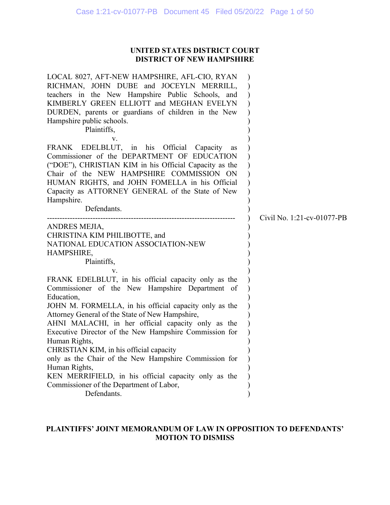## **UNITED STATES DISTRICT COURT DISTRICT OF NEW HAMPSHIRE**

| LOCAL 8027, AFT-NEW HAMPSHIRE, AFL-CIO, RYAN<br>RICHMAN, JOHN DUBE and JOCEYLN MERRILL,<br>teachers in the New Hampshire Public Schools, and<br>KIMBERLY GREEN ELLIOTT and MEGHAN EVELYN<br>DURDEN, parents or guardians of children in the New<br>Hampshire public schools.<br>Plaintiffs,<br>v.<br>FRANK EDELBLUT, in his Official Capacity<br>as                                                                                                                                                                                                                                                         |                            |
|-------------------------------------------------------------------------------------------------------------------------------------------------------------------------------------------------------------------------------------------------------------------------------------------------------------------------------------------------------------------------------------------------------------------------------------------------------------------------------------------------------------------------------------------------------------------------------------------------------------|----------------------------|
| Commissioner of the DEPARTMENT OF EDUCATION<br>("DOE"), CHRISTIAN KIM in his Official Capacity as the<br>Chair of the NEW HAMPSHIRE COMMISSION ON<br>HUMAN RIGHTS, and JOHN FOMELLA in his Official<br>Capacity as ATTORNEY GENERAL of the State of New<br>Hampshire.<br>Defendants.                                                                                                                                                                                                                                                                                                                        | Civil No. 1:21-cv-01077-PB |
| ANDRES MEJIA,<br>CHRISTINA KIM PHILIBOTTE, and<br>NATIONAL EDUCATION ASSOCIATION-NEW<br>HAMPSHIRE,<br>Plaintiffs,                                                                                                                                                                                                                                                                                                                                                                                                                                                                                           |                            |
| FRANK EDELBLUT, in his official capacity only as the<br>Commissioner of the New Hampshire Department of<br>Education,<br>JOHN M. FORMELLA, in his official capacity only as the<br>Attorney General of the State of New Hampshire,<br>AHNI MALACHI, in her official capacity only as the<br>Executive Director of the New Hampshire Commission for<br>Human Rights,<br>CHRISTIAN KIM, in his official capacity<br>only as the Chair of the New Hampshire Commission for<br>Human Rights,<br>KEN MERRIFIELD, in his official capacity only as the<br>Commissioner of the Department of Labor,<br>Defendants. |                            |

## **PLAINTIFFS' JOINT MEMORANDUM OF LAW IN OPPOSITION TO DEFENDANTS' MOTION TO DISMISS**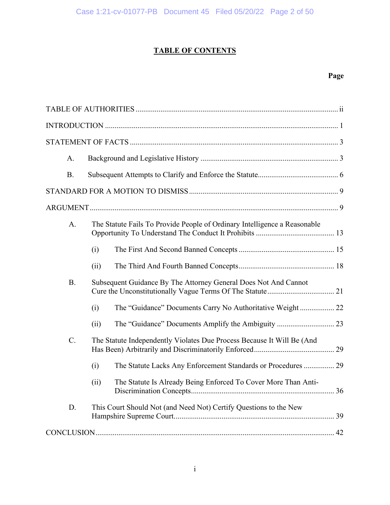# **TABLE OF CONTENTS**

# **Page**

| A.        |      |                                                                           |
|-----------|------|---------------------------------------------------------------------------|
| <b>B.</b> |      |                                                                           |
|           |      |                                                                           |
|           |      |                                                                           |
| A.        |      | The Statute Fails To Provide People of Ordinary Intelligence a Reasonable |
|           | (i)  |                                                                           |
|           | (ii) |                                                                           |
| <b>B.</b> |      | Subsequent Guidance By The Attorney General Does Not And Cannot           |
|           | (i)  | The "Guidance" Documents Carry No Authoritative Weight 22                 |
|           | (ii) |                                                                           |
| C.        |      | The Statute Independently Violates Due Process Because It Will Be (And    |
|           | (i)  | The Statute Lacks Any Enforcement Standards or Procedures  29             |
|           | (ii) | The Statute Is Already Being Enforced To Cover More Than Anti-            |
| D.        |      | This Court Should Not (and Need Not) Certify Questions to the New         |
|           |      |                                                                           |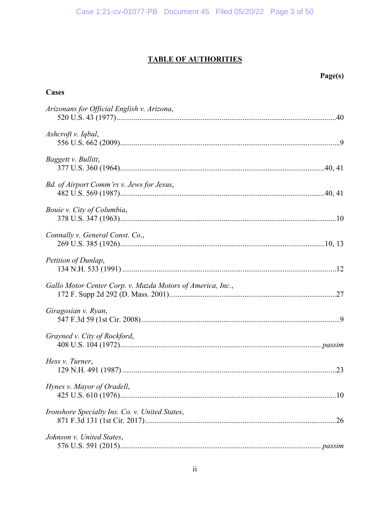# **TABLE OF AUTHORITIES**

Page(s)

| <b>Cases</b>                                               |
|------------------------------------------------------------|
| Arizonans for Official English v. Arizona,                 |
| Ashcroft v. Iqbal,                                         |
| Baggett v. Bullitt,                                        |
| Bd. of Airport Comm'rs v. Jews for Jesus,                  |
| Bouie v. City of Columbia,                                 |
| Connally v. General Const. Co.,                            |
| Petition of Dunlap,                                        |
| Gallo Motor Center Corp. v. Mazda Motors of America, Inc., |
| Giragosian v. Ryan,                                        |
| Grayned v. City of Rockford,                               |
| Hess v. Turner,                                            |
| Hynes v. Mayor of Oradell,                                 |
| Ironshore Specialty Ins. Co. v. United States,             |
| Johnson v. United States,                                  |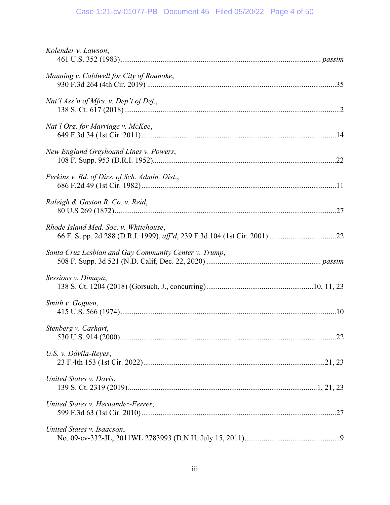# Case 1:21-cv-01077-PB Document 45 Filed 05/20/22 Page 4 of 50

| Kolender v. Lawson,                                   |
|-------------------------------------------------------|
| Manning v. Caldwell for City of Roanoke,              |
| Nat'l Ass'n of Mfrs. v. Dep't of Def.,                |
| Nat'l Org. for Marriage v. McKee,                     |
| New England Greyhound Lines v. Powers,                |
| Perkins v. Bd. of Dirs. of Sch. Admin. Dist.,         |
| Raleigh & Gaston R. Co. v. Reid,                      |
| Rhode Island Med. Soc. v. Whitehouse,                 |
| Santa Cruz Lesbian and Gay Community Center v. Trump, |
| Sessions v. Dimaya,                                   |
| Smith v. Goguen,                                      |
| Stenberg v. Carhart,                                  |
| U.S. v. Dávila-Reyes,                                 |
| United States v. Davis,                               |
| United States v. Hernandez-Ferrer,                    |
| United States v. Isaacson,                            |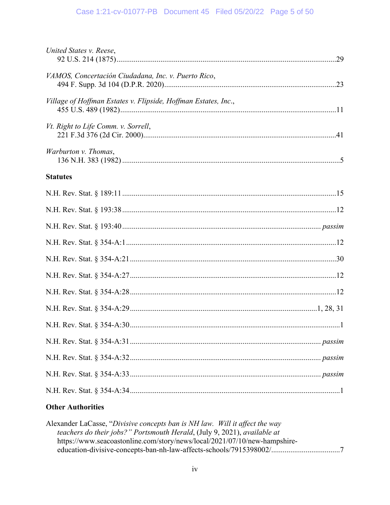## Case 1:21-cv-01077-PB Document 45 Filed 05/20/22 Page 5 of 50

## **Other Authorities**

Alexander LaCasse, "Divisive concepts ban is NH law. Will it affect the way teachers do their jobs?" Portsmouth Herald, (July 9, 2021), available at https://www.seacoastonline.com/story/news/local/2021/07/10/new-hampshireeducation-divisive-concepts-ban-nh-law-affects-schools/7915398002/..................................7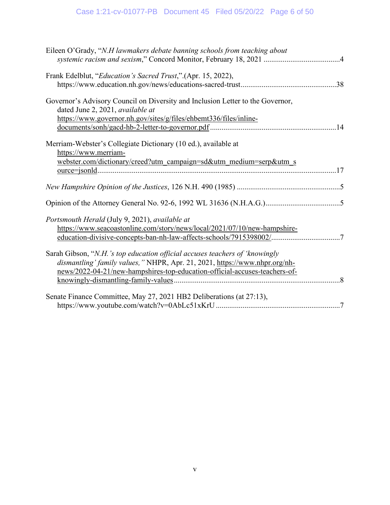| Eileen O'Grady, "N.H lawmakers debate banning schools from teaching about                                                                                                                                                               |
|-----------------------------------------------------------------------------------------------------------------------------------------------------------------------------------------------------------------------------------------|
| Frank Edelblut, "Education's Sacred Trust," (Apr. 15, 2022),                                                                                                                                                                            |
| Governor's Advisory Council on Diversity and Inclusion Letter to the Governor,<br>dated June 2, 2021, available at<br>https://www.governor.nh.gov/sites/g/files/ehbemt336/files/inline-                                                 |
| Merriam-Webster's Collegiate Dictionary (10 ed.), available at<br>https://www.merriam-<br>webster.com/dictionary/creed?utm_campaign=sd&utm_medium=serp&utm_s                                                                            |
|                                                                                                                                                                                                                                         |
|                                                                                                                                                                                                                                         |
| Portsmouth Herald (July 9, 2021), available at<br>https://www.seacoastonline.com/story/news/local/2021/07/10/new-hampshire-<br>education-divisive-concepts-ban-nh-law-affects-schools/7915398002/7                                      |
| Sarah Gibson, "N.H.'s top education official accuses teachers of 'knowingly<br>dismantling' family values," NHPR, Apr. 21, 2021, https://www.nhpr.org/nh-<br>news/2022-04-21/new-hampshires-top-education-official-accuses-teachers-of- |
| Senate Finance Committee, May 27, 2021 HB2 Deliberations (at 27:13),                                                                                                                                                                    |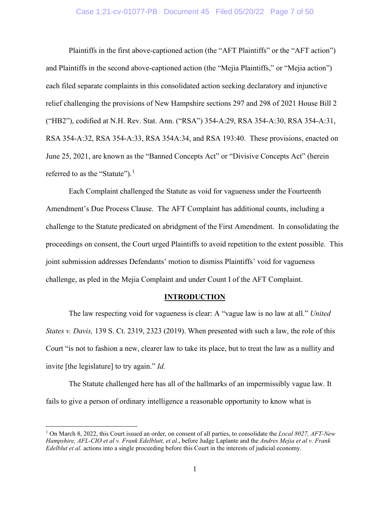#### Case 1:21-cv-01077-PB Document 45 Filed 05/20/22 Page 7 of 50

<span id="page-6-2"></span>Plaintiffs in the first above-captioned action (the "AFT Plaintiffs" or the "AFT action") and Plaintiffs in the second above-captioned action (the "Mejia Plaintiffs," or "Mejia action") each filed separate complaints in this consolidated action seeking declaratory and injunctive relief challenging the provisions of New Hampshire sections 297 and 298 of 2021 House Bill 2 ("HB2"), codified at N.H. Rev. Stat. Ann. ("RSA") 354-A:29, RSA 354-A:30, RSA 354-A:31, RSA 354-A:32, RSA 354-A:33, RSA 354A:34, and RSA 193:40. These provisions, enacted on June 25, 2021, are known as the "Banned Concepts Act" or "Divisive Concepts Act" (herein referred to as the "Statute").<sup>[1](#page-6-6)</sup>

<span id="page-6-5"></span><span id="page-6-4"></span>Each Complaint challenged the Statute as void for vagueness under the Fourteenth Amendment's Due Process Clause. The AFT Complaint has additional counts, including a challenge to the Statute predicated on abridgment of the First Amendment. In consolidating the proceedings on consent, the Court urged Plaintiffs to avoid repetition to the extent possible. This joint submission addresses Defendants' motion to dismiss Plaintiffs' void for vagueness challenge, as pled in the Mejia Complaint and under Count I of the AFT Complaint.

#### <span id="page-6-3"></span><span id="page-6-1"></span><span id="page-6-0"></span>**INTRODUCTION**

The law respecting void for vagueness is clear: A "vague law is no law at all." *United States v. Davis,* 139 S. Ct. 2319, 2323 (2019). When presented with such a law, the role of this Court "is not to fashion a new, clearer law to take its place, but to treat the law as a nullity and invite [the legislature] to try again." *Id.*

The Statute challenged here has all of the hallmarks of an impermissibly vague law. It fails to give a person of ordinary intelligence a reasonable opportunity to know what is

<span id="page-6-6"></span><sup>1</sup> On March 8, 2022, this Court issued an order, on consent of all parties, to consolidate the *Local 8027, AFT-New Hampshire, AFL-CIO et al v. Frank Edelblutt, et al*., before Judge Laplante and the *Andres Mejia et al v. Frank Edelblut et al.* actions into a single proceeding before this Court in the interests of judicial economy.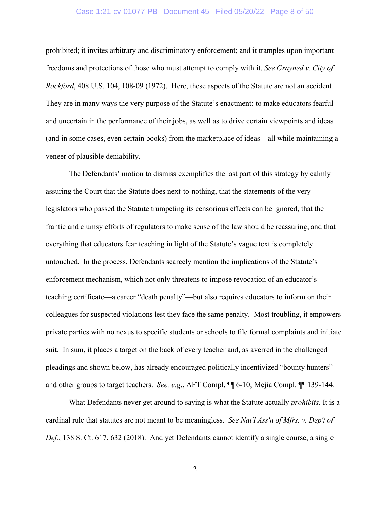#### <span id="page-7-0"></span>Case 1:21-cv-01077-PB Document 45 Filed 05/20/22 Page 8 of 50

prohibited; it invites arbitrary and discriminatory enforcement; and it tramples upon important freedoms and protections of those who must attempt to comply with it. *See Grayned v. City of Rockford*, 408 U.S. 104, 108-09 (1972). Here, these aspects of the Statute are not an accident. They are in many ways the very purpose of the Statute's enactment: to make educators fearful and uncertain in the performance of their jobs, as well as to drive certain viewpoints and ideas (and in some cases, even certain books) from the marketplace of ideas—all while maintaining a veneer of plausible deniability.

The Defendants' motion to dismiss exemplifies the last part of this strategy by calmly assuring the Court that the Statute does next-to-nothing, that the statements of the very legislators who passed the Statute trumpeting its censorious effects can be ignored, that the frantic and clumsy efforts of regulators to make sense of the law should be reassuring, and that everything that educators fear teaching in light of the Statute's vague text is completely untouched. In the process, Defendants scarcely mention the implications of the Statute's enforcement mechanism, which not only threatens to impose revocation of an educator's teaching certificate—a career "death penalty"—but also requires educators to inform on their colleagues for suspected violations lest they face the same penalty. Most troubling, it empowers private parties with no nexus to specific students or schools to file formal complaints and initiate suit. In sum, it places a target on the back of every teacher and, as averred in the challenged pleadings and shown below, has already encouraged politically incentivized "bounty hunters" and other groups to target teachers. *See, e.g*., AFT Compl. ¶¶ 6-10; Mejia Compl. ¶¶ 139-144.

<span id="page-7-1"></span>What Defendants never get around to saying is what the Statute actually *prohibits*. It is a cardinal rule that statutes are not meant to be meaningless. *See Nat'l Ass'n of Mfrs. v. Dep't of Def.*, 138 S. Ct. 617, 632 (2018). And yet Defendants cannot identify a single course, a single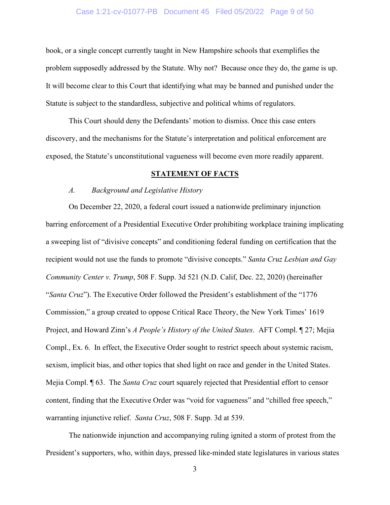#### Case 1:21-cv-01077-PB Document 45 Filed 05/20/22 Page 9 of 50

book, or a single concept currently taught in New Hampshire schools that exemplifies the problem supposedly addressed by the Statute. Why not? Because once they do, the game is up. It will become clear to this Court that identifying what may be banned and punished under the Statute is subject to the standardless, subjective and political whims of regulators.

This Court should deny the Defendants' motion to dismiss. Once this case enters discovery, and the mechanisms for the Statute's interpretation and political enforcement are exposed, the Statute's unconstitutional vagueness will become even more readily apparent.

#### <span id="page-8-0"></span>**STATEMENT OF FACTS**

#### *A. Background and Legislative History*

On December 22, 2020, a federal court issued a nationwide preliminary injunction barring enforcement of a Presidential Executive Order prohibiting workplace training implicating a sweeping list of "divisive concepts" and conditioning federal funding on certification that the recipient would not use the funds to promote "divisive concepts." *Santa Cruz Lesbian and Gay Community Center v. Trump*, 508 F. Supp. 3d 521 (N.D. Calif, Dec. 22, 2020) (hereinafter "*Santa Cruz*"). The Executive Order followed the President's establishment of the "1776 Commission," a group created to oppose Critical Race Theory, the New York Times' 1619 Project, and Howard Zinn's *A People's History of the United States*. AFT Compl. ¶ 27; Mejia Compl., Ex. 6. In effect, the Executive Order sought to restrict speech about systemic racism, sexism, implicit bias, and other topics that shed light on race and gender in the United States. Mejia Compl. ¶ 63. The *Santa Cruz* court squarely rejected that Presidential effort to censor content, finding that the Executive Order was "void for vagueness" and "chilled free speech," warranting injunctive relief. *Santa Cruz*, 508 F. Supp. 3d at 539.

The nationwide injunction and accompanying ruling ignited a storm of protest from the President's supporters, who, within days, pressed like-minded state legislatures in various states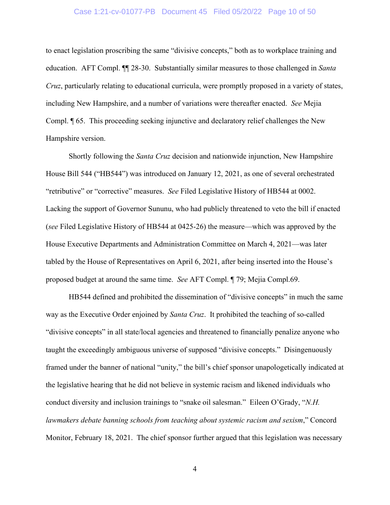#### Case 1:21-cv-01077-PB Document 45 Filed 05/20/22 Page 10 of 50

to enact legislation proscribing the same "divisive concepts," both as to workplace training and education. AFT Compl. ¶¶ 28-30. Substantially similar measures to those challenged in *Santa Cruz*, particularly relating to educational curricula, were promptly proposed in a variety of states, including New Hampshire, and a number of variations were thereafter enacted. *See* Mejia Compl. ¶ 65. This proceeding seeking injunctive and declaratory relief challenges the New Hampshire version.

Shortly following the *Santa Cruz* decision and nationwide injunction, New Hampshire House Bill 544 ("HB544") was introduced on January 12, 2021, as one of several orchestrated "retributive" or "corrective" measures. *See* Filed Legislative History of HB544 at 0002. Lacking the support of Governor Sununu, who had publicly threatened to veto the bill if enacted (*see* Filed Legislative History of HB544 at 0425-26) the measure—which was approved by the House Executive Departments and Administration Committee on March 4, 2021—was later tabled by the House of Representatives on April 6, 2021, after being inserted into the House's proposed budget at around the same time. *See* AFT Compl. ¶ 79; Mejia Compl.69.

<span id="page-9-0"></span>HB544 defined and prohibited the dissemination of "divisive concepts" in much the same way as the Executive Order enjoined by *Santa Cruz*. It prohibited the teaching of so-called "divisive concepts" in all state/local agencies and threatened to financially penalize anyone who taught the exceedingly ambiguous universe of supposed "divisive concepts." Disingenuously framed under the banner of national "unity," the bill's chief sponsor unapologetically indicated at the legislative hearing that he did not believe in systemic racism and likened individuals who conduct diversity and inclusion trainings to "snake oil salesman." Eileen O'Grady, "*N.H. lawmakers debate banning schools from teaching about systemic racism and sexism*," Concord Monitor, February 18, 2021. The chief sponsor further argued that this legislation was necessary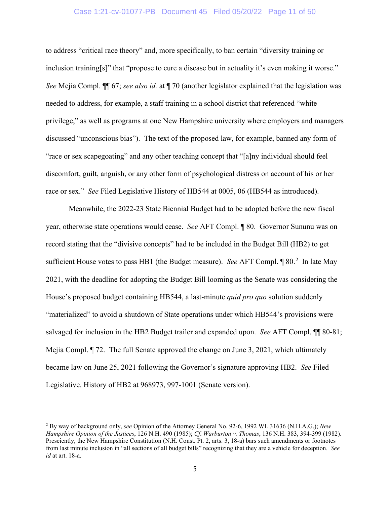#### Case 1:21-cv-01077-PB Document 45 Filed 05/20/22 Page 11 of 50

to address "critical race theory" and, more specifically, to ban certain "diversity training or inclusion training[s]" that "propose to cure a disease but in actuality it's even making it worse." *See* Mejia Compl. ¶¶ 67; *see also id.* at ¶ 70 (another legislator explained that the legislation was needed to address, for example, a staff training in a school district that referenced "white privilege," as well as programs at one New Hampshire university where employers and managers discussed "unconscious bias"). The text of the proposed law, for example, banned any form of "race or sex scapegoating" and any other teaching concept that "[a]ny individual should feel discomfort, guilt, anguish, or any other form of psychological distress on account of his or her race or sex." *See* Filed Legislative History of HB544 at 0005, 06 (HB544 as introduced).

Meanwhile, the 2022-23 State Biennial Budget had to be adopted before the new fiscal year, otherwise state operations would cease. *See* AFT Compl. ¶ 80. Governor Sununu was on record stating that the "divisive concepts" had to be included in the Budget Bill (HB2) to get sufficient House votes to pass HB1 (the Budget measure). See AFT Compl. 1 80.<sup>[2](#page-10-3)</sup> In late May 2021, with the deadline for adopting the Budget Bill looming as the Senate was considering the House's proposed budget containing HB544, a last-minute *quid pro quo* solution suddenly "materialized" to avoid a shutdown of State operations under which HB544's provisions were salvaged for inclusion in the HB2 Budget trailer and expanded upon. *See* AFT Compl. ¶¶ 80-81; Mejia Compl. ¶ 72. The full Senate approved the change on June 3, 2021, which ultimately became law on June 25, 2021 following the Governor's signature approving HB2. *See* Filed Legislative. History of HB2 at 968973, 997-1001 (Senate version).

<span id="page-10-3"></span><span id="page-10-2"></span><span id="page-10-1"></span><span id="page-10-0"></span><sup>2</sup> By way of background only, *see* Opinion of the Attorney General No. 92-6, 1992 WL 31636 (N.H.A.G.); *New Hampshire Opinion of the Justices*, 126 N.H. 490 (1985); *Cf*. *Warburton v. Thomas*, 136 N.H. 383, 394-399 (1982). Presciently, the New Hampshire Constitution (N.H. Const. Pt. 2, arts. 3, 18-a) bars such amendments or footnotes from last minute inclusion in "all sections of all budget bills" recognizing that they are a vehicle for deception. *See id* at art. 18-a.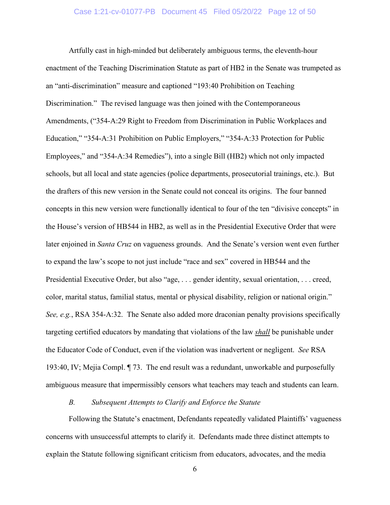Artfully cast in high-minded but deliberately ambiguous terms, the eleventh-hour enactment of the Teaching Discrimination Statute as part of HB2 in the Senate was trumpeted as an "anti-discrimination" measure and captioned "193:40 Prohibition on Teaching Discrimination." The revised language was then joined with the Contemporaneous Amendments, ("354-A:29 Right to Freedom from Discrimination in Public Workplaces and Education," "354-A:31 Prohibition on Public Employers," "354-A:33 Protection for Public Employees," and "354-A:34 Remedies"), into a single Bill (HB2) which not only impacted schools, but all local and state agencies (police departments, prosecutorial trainings, etc.). But the drafters of this new version in the Senate could not conceal its origins. The four banned concepts in this new version were functionally identical to four of the ten "divisive concepts" in the House's version of HB544 in HB2, as well as in the Presidential Executive Order that were later enjoined in *Santa Cruz* on vagueness grounds. And the Senate's version went even further to expand the law's scope to not just include "race and sex" covered in HB544 and the Presidential Executive Order, but also "age, . . . gender identity, sexual orientation, . . . creed, color, marital status, familial status, mental or physical disability, religion or national origin." *See, e.g.*, RSA 354-A:32. The Senate also added more draconian penalty provisions specifically targeting certified educators by mandating that violations of the law *shall* be punishable under the Educator Code of Conduct, even if the violation was inadvertent or negligent. *See* RSA 193:40, IV; Mejia Compl. ¶ 73. The end result was a redundant, unworkable and purposefully ambiguous measure that impermissibly censors what teachers may teach and students can learn.

## *B. Subsequent Attempts to Clarify and Enforce the Statute*

Following the Statute's enactment, Defendants repeatedly validated Plaintiffs' vagueness concerns with unsuccessful attempts to clarify it. Defendants made three distinct attempts to explain the Statute following significant criticism from educators, advocates, and the media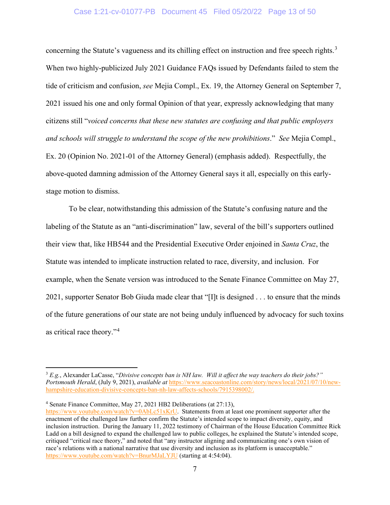#### Case 1:21-cv-01077-PB Document 45 Filed 05/20/22 Page 13 of 50

concerning the Statute's vagueness and its chilling effect on instruction and free speech rights. $3$ When two highly-publicized July 2021 Guidance FAQs issued by Defendants failed to stem the tide of criticism and confusion, *see* Mejia Compl., Ex. 19, the Attorney General on September 7, 2021 issued his one and only formal Opinion of that year, expressly acknowledging that many citizens still "*voiced concerns that these new statutes are confusing and that public employers and schools will struggle to understand the scope of the new prohibitions*." *See* Mejia Compl., Ex. 20 (Opinion No. 2021-01 of the Attorney General) (emphasis added). Respectfully, the above-quoted damning admission of the Attorney General says it all, especially on this earlystage motion to dismiss.

To be clear, notwithstanding this admission of the Statute's confusing nature and the labeling of the Statute as an "anti-discrimination" law, several of the bill's supporters outlined their view that, like HB544 and the Presidential Executive Order enjoined in *Santa Cruz*, the Statute was intended to implicate instruction related to race, diversity, and inclusion. For example, when the Senate version was introduced to the Senate Finance Committee on May 27, 2021, supporter Senator Bob Giuda made clear that "[I]t is designed . . . to ensure that the minds of the future generations of our state are not being unduly influenced by advocacy for such toxins as critical race theory."[4](#page-12-2)

<span id="page-12-2"></span><sup>4</sup> Senate Finance Committee, May 27, 2021 HB2 Deliberations (at 27:13),

<span id="page-12-1"></span><span id="page-12-0"></span><sup>3</sup> *E.g.*, Alexander LaCasse, "*Divisive concepts ban is NH law. Will it affect the way teachers do their jobs?" Portsmouth Herald*, (July 9, 2021), *available at* [https://www.seacoastonline.com/story/news/local/2021/07/10/new](https://www.seacoastonline.com/story/news/local/2021/07/10/new-hampshire-education-divisive-concepts-ban-nh-law-affects-schools/7915398002/)[hampshire-education-divisive-concepts-ban-nh-law-affects-schools/7915398002/.](https://www.seacoastonline.com/story/news/local/2021/07/10/new-hampshire-education-divisive-concepts-ban-nh-law-affects-schools/7915398002/)

[https://www.youtube.com/watch?v=0AbLc51xKrU.](https://www.youtube.com/watch?v=0AbLc51xKrU) Statements from at least one prominent supporter after the enactment of the challenged law further confirm the Statute's intended scope to impact diversity, equity, and inclusion instruction. During the January 11, 2022 testimony of Chairman of the House Education Committee Rick Ladd on a bill designed to expand the challenged law to public colleges, he explained the Statute's intended scope, critiqued "critical race theory," and noted that "any instructor aligning and communicating one's own vision of race's relations with a national narrative that use diversity and inclusion as its platform is unacceptable." <https://www.youtube.com/watch?v=BnurMJaLYJU> (starting at 4:54:04).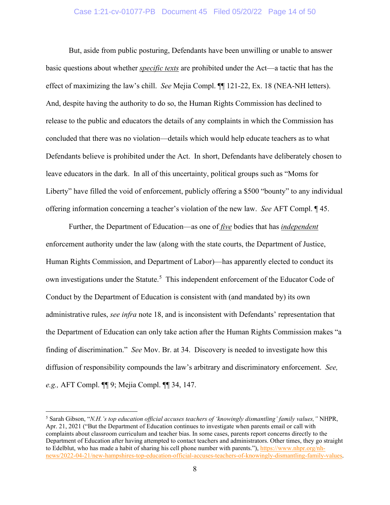#### Case 1:21-cv-01077-PB Document 45 Filed 05/20/22 Page 14 of 50

But, aside from public posturing, Defendants have been unwilling or unable to answer basic questions about whether *specific texts* are prohibited under the Act—a tactic that has the effect of maximizing the law's chill. *See* Mejia Compl. ¶¶ 121-22, Ex. 18 (NEA-NH letters). And, despite having the authority to do so, the Human Rights Commission has declined to release to the public and educators the details of any complaints in which the Commission has concluded that there was no violation—details which would help educate teachers as to what Defendants believe is prohibited under the Act. In short, Defendants have deliberately chosen to leave educators in the dark. In all of this uncertainty, political groups such as "Moms for Liberty" have filled the void of enforcement, publicly offering a \$500 "bounty" to any individual offering information concerning a teacher's violation of the new law. *See* AFT Compl. ¶ 45.

Further, the Department of Education—as one of *five* bodies that has *independent* enforcement authority under the law (along with the state courts, the Department of Justice, Human Rights Commission, and Department of Labor)—has apparently elected to conduct its own investigations under the Statute.<sup>[5](#page-13-1)</sup> This independent enforcement of the Educator Code of Conduct by the Department of Education is consistent with (and mandated by) its own administrative rules, *see infra* note 18, and is inconsistent with Defendants' representation that the Department of Education can only take action after the Human Rights Commission makes "a finding of discrimination." *See* Mov. Br. at 34. Discovery is needed to investigate how this diffusion of responsibility compounds the law's arbitrary and discriminatory enforcement. *See, e.g.,* AFT Compl. ¶¶ 9; Mejia Compl. ¶¶ 34, 147.

<span id="page-13-1"></span><span id="page-13-0"></span><sup>5</sup> Sarah Gibson, "*N.H.'s top education official accuses teachers of 'knowingly dismantling' family values,"* NHPR, Apr. 21, 2021 ("But the Department of Education continues to investigate when parents email or call with complaints about classroom curriculum and teacher bias. In some cases, parents report concerns directly to the Department of Education after having attempted to contact teachers and administrators. Other times, they go straight to Edelblut, who has made a habit of sharing his cell phone number with parents."), [https://www.nhpr.org/nh](https://www.nhpr.org/nh-news/2022-04-21/new-hampshires-top-education-official-accuses-teachers-of-knowingly-dismantling-family-values)[news/2022-04-21/new-hampshires-top-education-official-accuses-teachers-of-knowingly-dismantling-family-values.](https://www.nhpr.org/nh-news/2022-04-21/new-hampshires-top-education-official-accuses-teachers-of-knowingly-dismantling-family-values)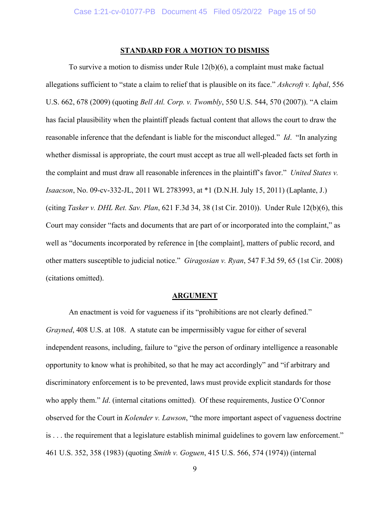### <span id="page-14-0"></span>**STANDARD FOR A MOTION TO DISMISS**

To survive a motion to dismiss under Rule 12(b)(6), a complaint must make factual allegations sufficient to "state a claim to relief that is plausible on its face." *Ashcroft v. Iqbal*, 556 U.S. 662, 678 (2009) (quoting *Bell Atl. Corp. v. Twombly*, 550 U.S. 544, 570 (2007)). "A claim has facial plausibility when the plaintiff pleads factual content that allows the court to draw the reasonable inference that the defendant is liable for the misconduct alleged." *Id*. "In analyzing whether dismissal is appropriate, the court must accept as true all well-pleaded facts set forth in the complaint and must draw all reasonable inferences in the plaintiff's favor." *United States v. Isaacson*, No. 09-cv-332-JL, 2011 WL 2783993, at \*1 (D.N.H. July 15, 2011) (Laplante, J.) (citing *Tasker v. DHL Ret. Sav. Plan*, 621 F.3d 34, 38 (1st Cir. 2010)). Under Rule 12(b)(6), this Court may consider "facts and documents that are part of or incorporated into the complaint," as well as "documents incorporated by reference in [the complaint], matters of public record, and other matters susceptible to judicial notice." *Giragosian v. Ryan*, 547 F.3d 59, 65 (1st Cir. 2008) (citations omitted).

#### <span id="page-14-3"></span><span id="page-14-2"></span><span id="page-14-1"></span>**ARGUMENT**

An enactment is void for vagueness if its "prohibitions are not clearly defined." *Grayned*, 408 U.S. at 108. A statute can be impermissibly vague for either of several independent reasons, including, failure to "give the person of ordinary intelligence a reasonable opportunity to know what is prohibited, so that he may act accordingly" and "if arbitrary and discriminatory enforcement is to be prevented, laws must provide explicit standards for those who apply them." *Id.* (internal citations omitted). Of these requirements, Justice O'Connor observed for the Court in *Kolender v. Lawson*, "the more important aspect of vagueness doctrine is . . . the requirement that a legislature establish minimal guidelines to govern law enforcement." 461 U.S. 352, 358 (1983) (quoting *Smith v. Goguen*, 415 U.S. 566, 574 (1974)) (internal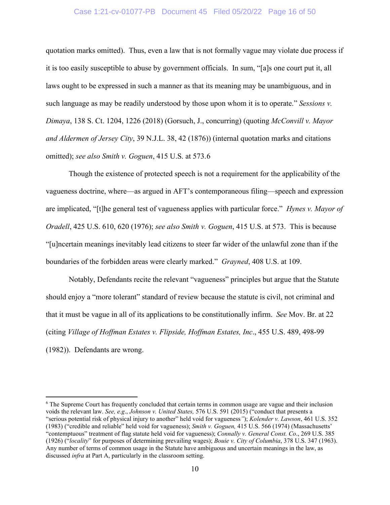#### <span id="page-15-4"></span>Case 1:21-cv-01077-PB Document 45 Filed 05/20/22 Page 16 of 50

quotation marks omitted). Thus, even a law that is not formally vague may violate due process if it is too easily susceptible to abuse by government officials. In sum, "[a]s one court put it, all laws ought to be expressed in such a manner as that its meaning may be unambiguous, and in such language as may be readily understood by those upon whom it is to operate." *Sessions v. Dimaya*, 138 S. Ct. 1204, 1226 (2018) (Gorsuch, J., concurring) (quoting *McConvill v. Mayor and Aldermen of Jersey City*, 39 N.J.L. 38, 42 (1876)) (internal quotation marks and citations omitted); *see also Smith v. Goguen*, 415 U.S. at 573.[6](#page-15-6)

<span id="page-15-5"></span><span id="page-15-2"></span>Though the existence of protected speech is not a requirement for the applicability of the vagueness doctrine, where—as argued in AFT's contemporaneous filing—speech and expression are implicated, "[t]he general test of vagueness applies with particular force." *Hynes v. Mayor of Oradell*, 425 U.S. 610, 620 (1976); *see also Smith v. Goguen*, 415 U.S. at 573. This is because "[u]ncertain meanings inevitably lead citizens to steer far wider of the unlawful zone than if the boundaries of the forbidden areas were clearly marked." *Grayned*, 408 U.S. at 109.

Notably, Defendants recite the relevant "vagueness" principles but argue that the Statute should enjoy a "more tolerant" standard of review because the statute is civil, not criminal and that it must be vague in all of its applications to be constitutionally infirm. *See* Mov. Br. at 22 (citing *Village of Hoffman Estates v. Flipside, Hoffman Estates, Inc*., 455 U.S. 489, 498-99 (1982)). Defendants are wrong.

<span id="page-15-6"></span><span id="page-15-3"></span><span id="page-15-1"></span><span id="page-15-0"></span><sup>6</sup> The Supreme Court has frequently concluded that certain terms in common usage are vague and their inclusion voids the relevant law. *See, e.g*., *Johnson v. United States,* 576 U.S. 591 (2015) ("conduct that presents a "serious potential risk of physical injury to another" held void for vagueness*"*); *Kolender v. Lawson*, 461 U.S. 352 (1983) ("credible and reliable" held void for vagueness); *Smith v. Goguen,* 415 U.S. 566 (1974) (Massachusetts' "contemptuous" treatment of flag statute held void for vagueness); *Connally v. General Const. Co*., 269 U.S. 385 (1926) ("*locality*" for purposes of determining prevailing wages); *Bouie v. City of Columbia*, 378 U.S. 347 (1963). Any number of terms of common usage in the Statute have ambiguous and uncertain meanings in the law, as discussed *infra* at Part A, particularly in the classroom setting.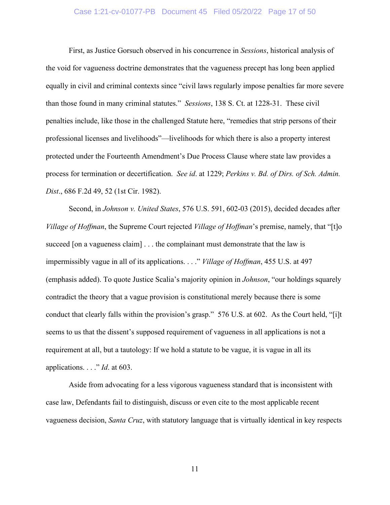#### <span id="page-16-1"></span>Case 1:21-cv-01077-PB Document 45 Filed 05/20/22 Page 17 of 50

First, as Justice Gorsuch observed in his concurrence in *Sessions*, historical analysis of the void for vagueness doctrine demonstrates that the vagueness precept has long been applied equally in civil and criminal contexts since "civil laws regularly impose penalties far more severe than those found in many criminal statutes." *Sessions*, 138 S. Ct. at 1228-31. These civil penalties include, like those in the challenged Statute here, "remedies that strip persons of their professional licenses and livelihoods"—livelihoods for which there is also a property interest protected under the Fourteenth Amendment's Due Process Clause where state law provides a process for termination or decertification. *See id*. at 1229; *Perkins v. Bd. of Dirs. of Sch. Admin. Dist*., 686 F.2d 49, 52 (1st Cir. 1982).

<span id="page-16-2"></span><span id="page-16-0"></span>Second, in *Johnson v. United States*, 576 U.S. 591, 602-03 (2015), decided decades after *Village of Hoffman*, the Supreme Court rejected *Village of Hoffman*'s premise, namely, that "[t]o succeed [on a vagueness claim] . . . the complainant must demonstrate that the law is impermissibly vague in all of its applications. . . ." *Village of Hoffman*, 455 U.S. at 497 (emphasis added). To quote Justice Scalia's majority opinion in *Johnson*, "our holdings squarely contradict the theory that a vague provision is constitutional merely because there is some conduct that clearly falls within the provision's grasp." 576 U.S. at 602. As the Court held, "[i]t seems to us that the dissent's supposed requirement of vagueness in all applications is not a requirement at all, but a tautology: If we hold a statute to be vague, it is vague in all its applications. . . ." *Id*. at 603.

Aside from advocating for a less vigorous vagueness standard that is inconsistent with case law, Defendants fail to distinguish, discuss or even cite to the most applicable recent vagueness decision, *Santa Cruz*, with statutory language that is virtually identical in key respects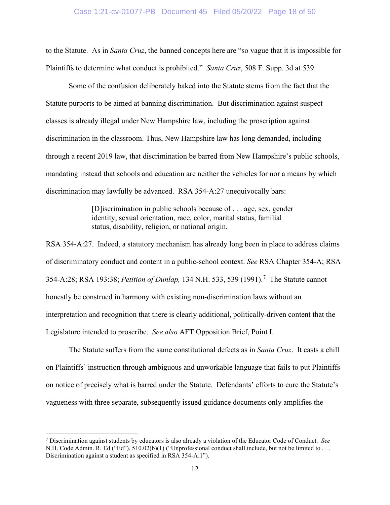to the Statute. As in *Santa Cruz*, the banned concepts here are "so vague that it is impossible for Plaintiffs to determine what conduct is prohibited." *Santa Cruz*, 508 F. Supp. 3d at 539.

Some of the confusion deliberately baked into the Statute stems from the fact that the Statute purports to be aimed at banning discrimination. But discrimination against suspect classes is already illegal under New Hampshire law, including the proscription against discrimination in the classroom. Thus, New Hampshire law has long demanded, including through a recent 2019 law, that discrimination be barred from New Hampshire's public schools, mandating instead that schools and education are neither the vehicles for nor a means by which discrimination may lawfully be advanced. RSA 354-A:27 unequivocally bars:

> <span id="page-17-4"></span><span id="page-17-3"></span><span id="page-17-0"></span>[D]iscrimination in public schools because of . . . age, sex, gender identity, sexual orientation, race, color, marital status, familial status, disability, religion, or national origin.

<span id="page-17-1"></span>RSA 354-A:27. Indeed, a statutory mechanism has already long been in place to address claims of discriminatory conduct and content in a public-school context. *See* RSA Chapter 354-A; RSA 354-A:28; RSA 193:38; *Petition of Dunlap,* 134 N.H. 533, 539 (1991). [7](#page-17-5) The Statute cannot honestly be construed in harmony with existing non-discrimination laws without an interpretation and recognition that there is clearly additional, politically-driven content that the Legislature intended to proscribe. *See also* AFT Opposition Brief, Point I.

The Statute suffers from the same constitutional defects as in *Santa Cruz*. It casts a chill on Plaintiffs' instruction through ambiguous and unworkable language that fails to put Plaintiffs on notice of precisely what is barred under the Statute. Defendants' efforts to cure the Statute's vagueness with three separate, subsequently issued guidance documents only amplifies the

<span id="page-17-5"></span><span id="page-17-2"></span><sup>7</sup> Discrimination against students by educators is also already a violation of the Educator Code of Conduct. *See* N.H. Code Admin. R. Ed ("Ed"). 510.02(b)(1) ("Unprofessional conduct shall include, but not be limited to . . . Discrimination against a student as specified in RSA 354-A:1").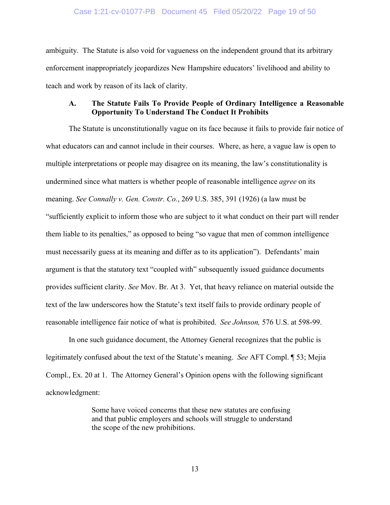#### Case 1:21-cv-01077-PB Document 45 Filed 05/20/22 Page 19 of 50

ambiguity. The Statute is also void for vagueness on the independent ground that its arbitrary enforcement inappropriately jeopardizes New Hampshire educators' livelihood and ability to teach and work by reason of its lack of clarity.

## **A. The Statute Fails To Provide People of Ordinary Intelligence a Reasonable Opportunity To Understand The Conduct It Prohibits**

<span id="page-18-0"></span>The Statute is unconstitutionally vague on its face because it fails to provide fair notice of what educators can and cannot include in their courses. Where, as here, a vague law is open to multiple interpretations or people may disagree on its meaning, the law's constitutionality is undermined since what matters is whether people of reasonable intelligence *agree* on its meaning. *See Connally v. Gen. Constr. Co.*, 269 U.S. 385, 391 (1926) (a law must be "sufficiently explicit to inform those who are subject to it what conduct on their part will render them liable to its penalties," as opposed to being "so vague that men of common intelligence must necessarily guess at its meaning and differ as to its application"). Defendants' main argument is that the statutory text "coupled with" subsequently issued guidance documents provides sufficient clarity. *See* Mov. Br. At 3. Yet, that heavy reliance on material outside the text of the law underscores how the Statute's text itself fails to provide ordinary people of reasonable intelligence fair notice of what is prohibited. *See Johnson,* 576 U.S. at 598-99.

In one such guidance document, the Attorney General recognizes that the public is legitimately confused about the text of the Statute's meaning. *See* AFT Compl. ¶ 53; Mejia Compl., Ex. 20 at 1. The Attorney General's Opinion opens with the following significant acknowledgment:

> Some have voiced concerns that these new statutes are confusing and that public employers and schools will struggle to understand the scope of the new prohibitions.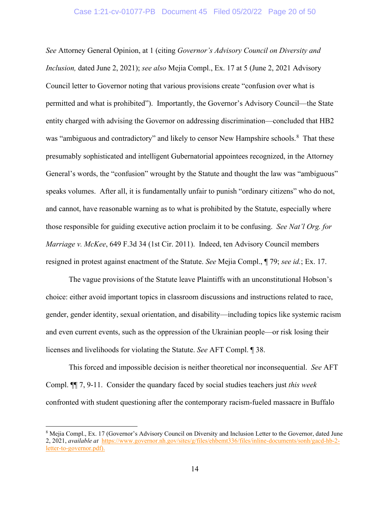*See* Attorney General Opinion, at 1 (citing *Governor's Advisory Council on Diversity and Inclusion,* dated June 2, 2021); *see also* Mejia Compl., Ex. 17 at 5 (June 2, 2021 Advisory Council letter to Governor noting that various provisions create "confusion over what is permitted and what is prohibited"). Importantly, the Governor's Advisory Council—the State entity charged with advising the Governor on addressing discrimination—concluded that HB2 was "ambiguous and contradictory" and likely to censor New Hampshire schools.<sup>[8](#page-19-2)</sup> That these presumably sophisticated and intelligent Gubernatorial appointees recognized, in the Attorney General's words, the "confusion" wrought by the Statute and thought the law was "ambiguous" speaks volumes. After all, it is fundamentally unfair to punish "ordinary citizens" who do not, and cannot, have reasonable warning as to what is prohibited by the Statute, especially where those responsible for guiding executive action proclaim it to be confusing. *See Nat'l Org. for Marriage v. McKee*, 649 F.3d 34 (1st Cir. 2011). Indeed, ten Advisory Council members resigned in protest against enactment of the Statute. *See* Mejia Compl., ¶ 79; *see id.*; Ex. 17.

<span id="page-19-0"></span>The vague provisions of the Statute leave Plaintiffs with an unconstitutional Hobson's choice: either avoid important topics in classroom discussions and instructions related to race, gender, gender identity, sexual orientation, and disability—including topics like systemic racism and even current events, such as the oppression of the Ukrainian people—or risk losing their licenses and livelihoods for violating the Statute. *See* AFT Compl. ¶ 38.

This forced and impossible decision is neither theoretical nor inconsequential. *See* AFT Compl. ¶¶ 7, 9-11. Consider the quandary faced by social studies teachers just *this week* confronted with student questioning after the contemporary racism-fueled massacre in Buffalo

<span id="page-19-2"></span><span id="page-19-1"></span><sup>8</sup> Mejia Compl., Ex. 17 (Governor's Advisory Council on Diversity and Inclusion Letter to the Governor, dated June 2, 2021, *available at* [https://www.governor.nh.gov/sites/g/files/ehbemt336/files/inline-documents/sonh/gacd-hb-2](https://www.governor.nh.gov/sites/g/files/ehbemt336/files/inline-documents/sonh/gacd-hb-2-letter-to-governor.pdf) [letter-to-governor.pdf\)](https://www.governor.nh.gov/sites/g/files/ehbemt336/files/inline-documents/sonh/gacd-hb-2-letter-to-governor.pdf).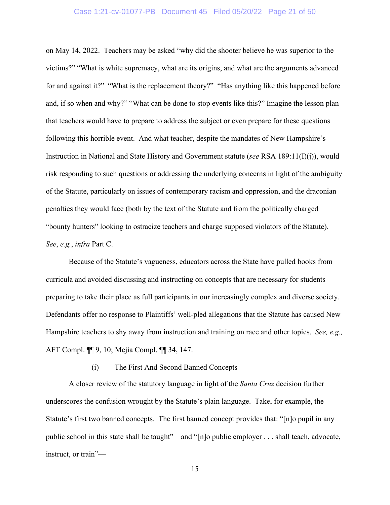#### <span id="page-20-0"></span>Case 1:21-cv-01077-PB Document 45 Filed 05/20/22 Page 21 of 50

on May 14, 2022. Teachers may be asked "why did the shooter believe he was superior to the victims?" "What is white supremacy, what are its origins, and what are the arguments advanced for and against it?" "What is the replacement theory?" "Has anything like this happened before and, if so when and why?" "What can be done to stop events like this?" Imagine the lesson plan that teachers would have to prepare to address the subject or even prepare for these questions following this horrible event. And what teacher, despite the mandates of New Hampshire's Instruction in National and State History and Government statute (*see* RSA 189:11(I)(j)), would risk responding to such questions or addressing the underlying concerns in light of the ambiguity of the Statute, particularly on issues of contemporary racism and oppression, and the draconian penalties they would face (both by the text of the Statute and from the politically charged "bounty hunters" looking to ostracize teachers and charge supposed violators of the Statute). *See*, *e.g.*, *infra* Part C.

Because of the Statute's vagueness, educators across the State have pulled books from curricula and avoided discussing and instructing on concepts that are necessary for students preparing to take their place as full participants in our increasingly complex and diverse society. Defendants offer no response to Plaintiffs' well-pled allegations that the Statute has caused New Hampshire teachers to shy away from instruction and training on race and other topics. *See, e.g.,* AFT Compl. ¶¶ 9, 10; Mejia Compl. ¶¶ 34, 147.

#### (i) The First And Second Banned Concepts

A closer review of the statutory language in light of the *Santa Cruz* decision further underscores the confusion wrought by the Statute's plain language. Take, for example, the Statute's first two banned concepts. The first banned concept provides that: "[n]o pupil in any public school in this state shall be taught"—and "[n]o public employer . . . shall teach, advocate, instruct, or train"—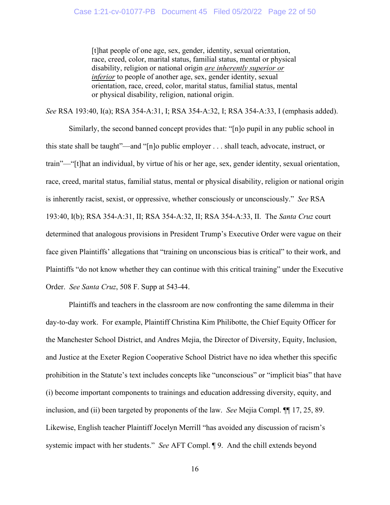[t]hat people of one age, sex, gender, identity, sexual orientation, race, creed, color, marital status, familial status, mental or physical disability, religion or national origin *are inherently superior or inferior* to people of another age, sex, gender identity, sexual orientation, race, creed, color, marital status, familial status, mental or physical disability, religion, national origin.

*See* RSA 193:40, I(a); RSA 354-A:31, I; RSA 354-A:32, I; RSA 354-A:33, I (emphasis added).

Similarly, the second banned concept provides that: "[n]o pupil in any public school in this state shall be taught"—and "[n]o public employer . . . shall teach, advocate, instruct, or train"—"[t]hat an individual, by virtue of his or her age, sex, gender identity, sexual orientation, race, creed, marital status, familial status, mental or physical disability, religion or national origin is inherently racist, sexist, or oppressive, whether consciously or unconsciously." *See* RSA 193:40, I(b); RSA 354-A:31, II; RSA 354-A:32, II; RSA 354-A:33, II. The *Santa Cruz* court determined that analogous provisions in President Trump's Executive Order were vague on their face given Plaintiffs' allegations that "training on unconscious bias is critical" to their work, and Plaintiffs "do not know whether they can continue with this critical training" under the Executive Order. *See Santa Cruz*, 508 F. Supp at 543-44.

Plaintiffs and teachers in the classroom are now confronting the same dilemma in their day-to-day work. For example, Plaintiff Christina Kim Philibotte, the Chief Equity Officer for the Manchester School District, and Andres Mejia, the Director of Diversity, Equity, Inclusion, and Justice at the Exeter Region Cooperative School District have no idea whether this specific prohibition in the Statute's text includes concepts like "unconscious" or "implicit bias" that have (i) become important components to trainings and education addressing diversity, equity, and inclusion, and (ii) been targeted by proponents of the law. *See* Mejia Compl. ¶¶ 17, 25, 89. Likewise, English teacher Plaintiff Jocelyn Merrill "has avoided any discussion of racism's systemic impact with her students." *See* AFT Compl. ¶ 9. And the chill extends beyond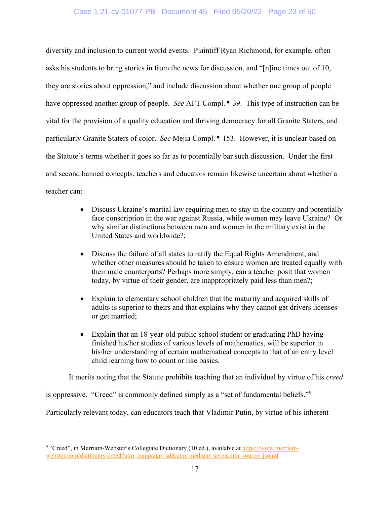## Case 1:21-cv-01077-PB Document 45 Filed 05/20/22 Page 23 of 50

diversity and inclusion to current world events. Plaintiff Ryan Richmond, for example, often asks his students to bring stories in from the news for discussion, and "[n]ine times out of 10, they are stories about oppression," and include discussion about whether one group of people have oppressed another group of people. *See* AFT Compl. ¶ 39. This type of instruction can be vital for the provision of a quality education and thriving democracy for all Granite Staters, and particularly Granite Staters of color. *See* Mejia Compl. ¶ 153. However, it is unclear based on the Statute's terms whether it goes so far as to potentially bar such discussion. Under the first and second banned concepts, teachers and educators remain likewise uncertain about whether a teacher can:

- Discuss Ukraine's martial law requiring men to stay in the country and potentially face conscription in the war against Russia, while women may leave Ukraine? Or why similar distinctions between men and women in the military exist in the United States and worldwide?;
- Discuss the failure of all states to ratify the Equal Rights Amendment, and whether other measures should be taken to ensure women are treated equally with their male counterparts? Perhaps more simply, can a teacher posit that women today, by virtue of their gender, are inappropriately paid less than men?;
- Explain to elementary school children that the maturity and acquired skills of adults is superior to theirs and that explains why they cannot get drivers licenses or get married;
- Explain that an 18-year-old public school student or graduating PhD having finished his/her studies of various levels of mathematics, will be superior in his/her understanding of certain mathematical concepts to that of an entry level child learning how to count or like basics.

It merits noting that the Statute prohibits teaching that an individual by virtue of his *creed*

is oppressive. "Creed" is commonly defined simply as a "set of fundamental beliefs."<sup>[9](#page-22-1)</sup>

Particularly relevant today, can educators teach that Vladimir Putin, by virtue of his inherent

<span id="page-22-1"></span><span id="page-22-0"></span><sup>&</sup>lt;sup>9</sup> "Creed", in Merriam-Webster's Collegiate Dictionary (10 ed.), available a[t https://www.merriam](https://www.merriam-webster.com/dictionary/creed?utm_campaign=sd&utm_medium=serp&utm_source=jsonld)[webster.com/dictionary/creed?utm\\_campaign=sd&utm\\_medium=serp&utm\\_source=jsonld](https://www.merriam-webster.com/dictionary/creed?utm_campaign=sd&utm_medium=serp&utm_source=jsonld)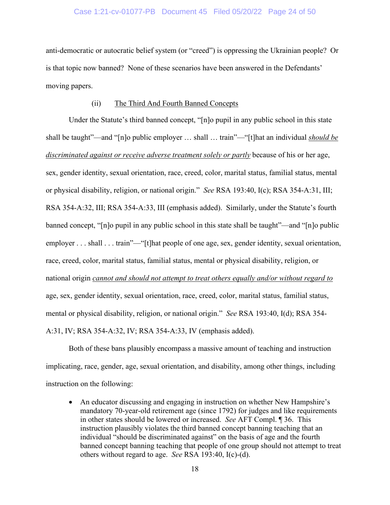#### Case 1:21-cv-01077-PB Document 45 Filed 05/20/22 Page 24 of 50

anti-democratic or autocratic belief system (or "creed") is oppressing the Ukrainian people? Or is that topic now banned? None of these scenarios have been answered in the Defendants' moving papers.

#### (ii) The Third And Fourth Banned Concepts

Under the Statute's third banned concept, "[n]o pupil in any public school in this state shall be taught"—and "[n]o public employer … shall … train"—"[t]hat an individual *should be discriminated against or receive adverse treatment solely or partly* because of his or her age, sex, gender identity, sexual orientation, race, creed, color, marital status, familial status, mental or physical disability, religion, or national origin." *See* RSA 193:40, I(c); RSA 354-A:31, III; RSA 354-A:32, III; RSA 354-A:33, III (emphasis added). Similarly, under the Statute's fourth banned concept, "[n]o pupil in any public school in this state shall be taught"—and "[n]o public employer . . . shall . . . train"—"[t]hat people of one age, sex, gender identity, sexual orientation, race, creed, color, marital status, familial status, mental or physical disability, religion, or national origin *cannot and should not attempt to treat others equally and/or without regard to* age, sex, gender identity, sexual orientation, race, creed, color, marital status, familial status, mental or physical disability, religion, or national origin." *See* RSA 193:40, I(d); RSA 354- A:31, IV; RSA 354-A:32, IV; RSA 354-A:33, IV (emphasis added).

Both of these bans plausibly encompass a massive amount of teaching and instruction implicating, race, gender, age, sexual orientation, and disability, among other things, including instruction on the following:

• An educator discussing and engaging in instruction on whether New Hampshire's mandatory 70-year-old retirement age (since 1792) for judges and like requirements in other states should be lowered or increased. *See* AFT Compl. ¶ 36. This instruction plausibly violates the third banned concept banning teaching that an individual "should be discriminated against" on the basis of age and the fourth banned concept banning teaching that people of one group should not attempt to treat others without regard to age. *See* RSA 193:40, I(c)-(d).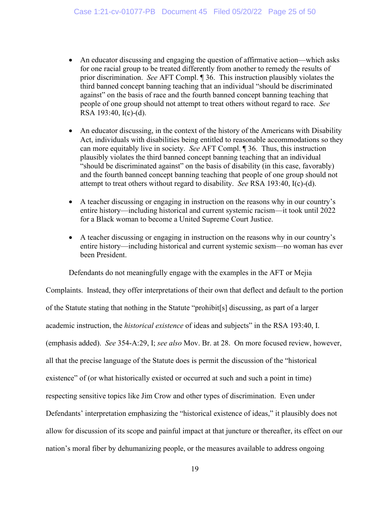- An educator discussing and engaging the question of affirmative action—which asks for one racial group to be treated differently from another to remedy the results of prior discrimination. *See* AFT Compl. ¶ 36. This instruction plausibly violates the third banned concept banning teaching that an individual "should be discriminated against" on the basis of race and the fourth banned concept banning teaching that people of one group should not attempt to treat others without regard to race. *See*  RSA 193:40, I(c)-(d).
- An educator discussing, in the context of the history of the Americans with Disability Act, individuals with disabilities being entitled to reasonable accommodations so they can more equitably live in society. *See* AFT Compl. ¶ 36. Thus, this instruction plausibly violates the third banned concept banning teaching that an individual "should be discriminated against" on the basis of disability (in this case, favorably) and the fourth banned concept banning teaching that people of one group should not attempt to treat others without regard to disability. *See* RSA 193:40, I(c)-(d).
- A teacher discussing or engaging in instruction on the reasons why in our country's entire history—including historical and current systemic racism—it took until 2022 for a Black woman to become a United Supreme Court Justice.
- A teacher discussing or engaging in instruction on the reasons why in our country's entire history—including historical and current systemic sexism—no woman has ever been President.

Defendants do not meaningfully engage with the examples in the AFT or Mejia

Complaints. Instead, they offer interpretations of their own that deflect and default to the portion of the Statute stating that nothing in the Statute "prohibit[s] discussing, as part of a larger academic instruction, the *historical existence* of ideas and subjects" in the RSA 193:40, I. (emphasis added). *See* 354-A:29, I; *see also* Mov. Br. at 28. On more focused review, however, all that the precise language of the Statute does is permit the discussion of the "historical existence" of (or what historically existed or occurred at such and such a point in time) respecting sensitive topics like Jim Crow and other types of discrimination. Even under Defendants' interpretation emphasizing the "historical existence of ideas," it plausibly does not allow for discussion of its scope and painful impact at that juncture or thereafter, its effect on our nation's moral fiber by dehumanizing people, or the measures available to address ongoing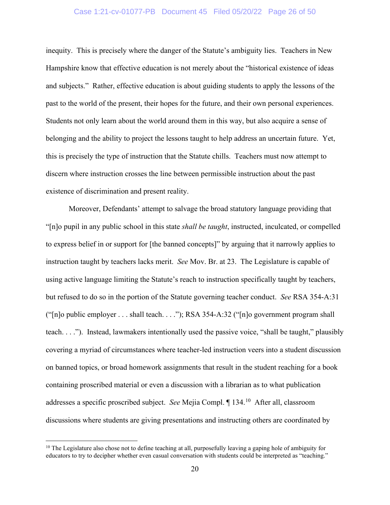#### Case 1:21-cv-01077-PB Document 45 Filed 05/20/22 Page 26 of 50

inequity. This is precisely where the danger of the Statute's ambiguity lies. Teachers in New Hampshire know that effective education is not merely about the "historical existence of ideas and subjects." Rather, effective education is about guiding students to apply the lessons of the past to the world of the present, their hopes for the future, and their own personal experiences. Students not only learn about the world around them in this way, but also acquire a sense of belonging and the ability to project the lessons taught to help address an uncertain future. Yet, this is precisely the type of instruction that the Statute chills. Teachers must now attempt to discern where instruction crosses the line between permissible instruction about the past existence of discrimination and present reality.

Moreover, Defendants' attempt to salvage the broad statutory language providing that "[n]o pupil in any public school in this state *shall be taught*, instructed, inculcated, or compelled to express belief in or support for [the banned concepts]" by arguing that it narrowly applies to instruction taught by teachers lacks merit. *See* Mov. Br. at 23. The Legislature is capable of using active language limiting the Statute's reach to instruction specifically taught by teachers, but refused to do so in the portion of the Statute governing teacher conduct. *See* RSA 354-A:31 ("[n]o public employer . . . shall teach. . . ."); RSA 354-A:32 ("[n]o government program shall teach. . . ."). Instead, lawmakers intentionally used the passive voice, "shall be taught," plausibly covering a myriad of circumstances where teacher-led instruction veers into a student discussion on banned topics, or broad homework assignments that result in the student reaching for a book containing proscribed material or even a discussion with a librarian as to what publication addresses a specific proscribed subject. *See* Mejia Compl. ¶ 134.[10](#page-25-0) After all, classroom discussions where students are giving presentations and instructing others are coordinated by

<span id="page-25-0"></span> $10$  The Legislature also chose not to define teaching at all, purposefully leaving a gaping hole of ambiguity for educators to try to decipher whether even casual conversation with students could be interpreted as "teaching."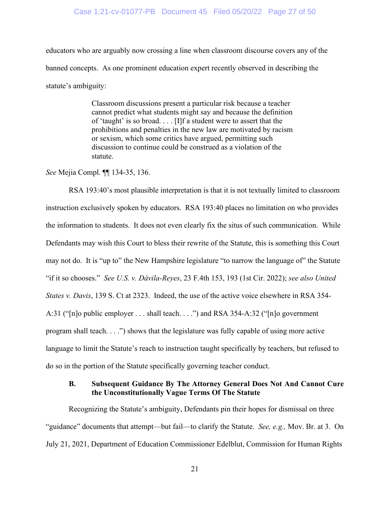#### Case 1:21-cv-01077-PB Document 45 Filed 05/20/22 Page 27 of 50

educators who are arguably now crossing a line when classroom discourse covers any of the banned concepts. As one prominent education expert recently observed in describing the statute's ambiguity:

> Classroom discussions present a particular risk because a teacher cannot predict what students might say and because the definition of 'taught' is so broad. . . . [I]f a student were to assert that the prohibitions and penalties in the new law are motivated by racism or sexism, which some critics have argued, permitting such discussion to continue could be construed as a violation of the statute.

*See* Mejia Compl. ¶¶ 134-35, 136.

<span id="page-26-0"></span>RSA 193:40's most plausible interpretation is that it is not textually limited to classroom instruction exclusively spoken by educators. RSA 193:40 places no limitation on who provides the information to students. It does not even clearly fix the situs of such communication. While Defendants may wish this Court to bless their rewrite of the Statute, this is something this Court may not do. It is "up to" the New Hampshire legislature "to narrow the language of" the Statute "if it so chooses." *See U.S. v. Dávila-Reyes*, 23 F.4th 153, 193 (1st Cir. 2022); *see also United States v. Davis*, 139 S. Ct at 2323. Indeed, the use of the active voice elsewhere in RSA 354- A:31 ("[n]o public employer . . . shall teach. . . .") and RSA 354-A:32 ("[n]o government program shall teach. . . .") shows that the legislature was fully capable of using more active language to limit the Statute's reach to instruction taught specifically by teachers, but refused to do so in the portion of the Statute specifically governing teacher conduct.

## <span id="page-26-1"></span>**B. Subsequent Guidance By The Attorney General Does Not And Cannot Cure the Unconstitutionally Vague Terms Of The Statute**

Recognizing the Statute's ambiguity, Defendants pin their hopes for dismissal on three "guidance" documents that attempt—but fail—to clarify the Statute. *See, e.g.,* Mov. Br. at 3. On July 21, 2021, Department of Education Commissioner Edelblut, Commission for Human Rights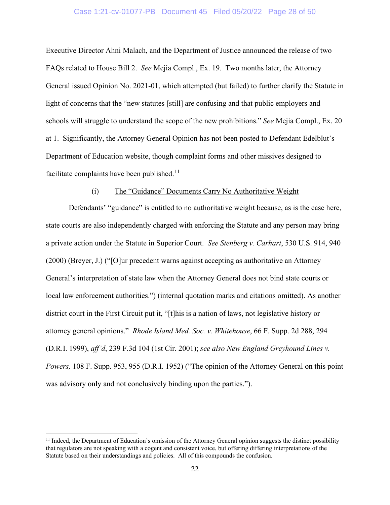#### Case 1:21-cv-01077-PB Document 45 Filed 05/20/22 Page 28 of 50

Executive Director Ahni Malach, and the Department of Justice announced the release of two FAQs related to House Bill 2. *See* Mejia Compl., Ex. 19. Two months later, the Attorney General issued Opinion No. 2021-01, which attempted (but failed) to further clarify the Statute in light of concerns that the "new statutes [still] are confusing and that public employers and schools will struggle to understand the scope of the new prohibitions." *See* Mejia Compl., Ex. 20 at 1. Significantly, the Attorney General Opinion has not been posted to Defendant Edelblut's Department of Education website, though complaint forms and other missives designed to facilitate complaints have been published.<sup>[11](#page-27-3)</sup>

#### <span id="page-27-2"></span>(i) The "Guidance" Documents Carry No Authoritative Weight

Defendants' "guidance" is entitled to no authoritative weight because, as is the case here, state courts are also independently charged with enforcing the Statute and any person may bring a private action under the Statute in Superior Court. *See Stenberg v. Carhart*, 530 U.S. 914, 940 (2000) (Breyer, J.) ("[O]ur precedent warns against accepting as authoritative an Attorney General's interpretation of state law when the Attorney General does not bind state courts or local law enforcement authorities.") (internal quotation marks and citations omitted). As another district court in the First Circuit put it, "[t]his is a nation of laws, not legislative history or attorney general opinions." *Rhode Island Med. Soc. v. Whitehouse*, 66 F. Supp. 2d 288, 294 (D.R.I. 1999), *aff'd*, 239 F.3d 104 (1st Cir. 2001); *see also New England Greyhound Lines v. Powers,* 108 F. Supp. 953, 955 (D.R.I. 1952) ("The opinion of the Attorney General on this point was advisory only and not conclusively binding upon the parties.").

<span id="page-27-3"></span><span id="page-27-1"></span><span id="page-27-0"></span> $<sup>11</sup>$  Indeed, the Department of Education's omission of the Attorney General opinion suggests the distinct possibility</sup> that regulators are not speaking with a cogent and consistent voice, but offering differing interpretations of the Statute based on their understandings and policies. All of this compounds the confusion.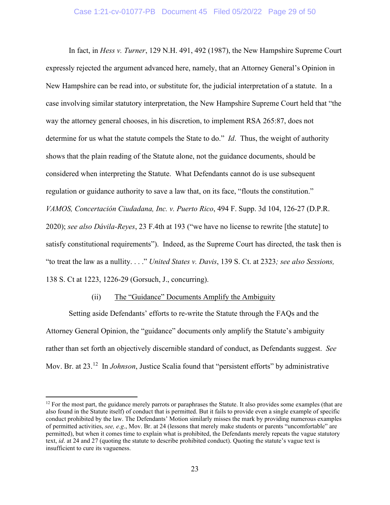<span id="page-28-0"></span>In fact, in *Hess v. Turner*, 129 N.H. 491, 492 (1987), the New Hampshire Supreme Court expressly rejected the argument advanced here, namely, that an Attorney General's Opinion in New Hampshire can be read into, or substitute for, the judicial interpretation of a statute. In a case involving similar statutory interpretation, the New Hampshire Supreme Court held that "the way the attorney general chooses, in his discretion, to implement RSA 265:87, does not determine for us what the statute compels the State to do." *Id*. Thus, the weight of authority shows that the plain reading of the Statute alone, not the guidance documents, should be considered when interpreting the Statute. What Defendants cannot do is use subsequent regulation or guidance authority to save a law that, on its face, "flouts the constitution." *VAMOS, Concertación Ciudadana, Inc. v. Puerto Rico*, 494 F. Supp. 3d 104, 126-27 (D.P.R. 2020); *see also Dávila-Reyes*, 23 F.4th at 193 ("we have no license to rewrite [the statute] to satisfy constitutional requirements"). Indeed, as the Supreme Court has directed, the task then is "to treat the law as a nullity. . . ." *United States v. Davis*, 139 S. Ct. at 2323*; see also Sessions,*  138 S. Ct at 1223, 1226-29 (Gorsuch, J., concurring).

#### <span id="page-28-4"></span><span id="page-28-3"></span><span id="page-28-2"></span><span id="page-28-1"></span>(ii) The "Guidance" Documents Amplify the Ambiguity

Setting aside Defendants' efforts to re-write the Statute through the FAQs and the Attorney General Opinion, the "guidance" documents only amplify the Statute's ambiguity rather than set forth an objectively discernible standard of conduct, as Defendants suggest. *See*  Mov. Br. at 23.<sup>[12](#page-28-5)</sup> In *Johnson*, Justice Scalia found that "persistent efforts" by administrative

<span id="page-28-5"></span> $12$  For the most part, the guidance merely parrots or paraphrases the Statute. It also provides some examples (that are also found in the Statute itself) of conduct that is permitted. But it fails to provide even a single example of specific conduct prohibited by the law. The Defendants' Motion similarly misses the mark by providing numerous examples of permitted activities, *see, e.g*., Mov. Br. at 24 (lessons that merely make students or parents "uncomfortable" are permitted), but when it comes time to explain what is prohibited, the Defendants merely repeats the vague statutory text, *id*. at 24 and 27 (quoting the statute to describe prohibited conduct). Quoting the statute's vague text is insufficient to cure its vagueness.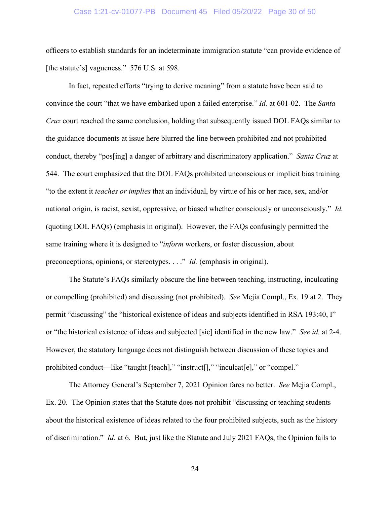#### Case 1:21-cv-01077-PB Document 45 Filed 05/20/22 Page 30 of 50

officers to establish standards for an indeterminate immigration statute "can provide evidence of [the statute's] vagueness." 576 U.S. at 598.

In fact, repeated efforts "trying to derive meaning" from a statute have been said to convince the court "that we have embarked upon a failed enterprise." *Id.* at 601-02. The *Santa Cruz* court reached the same conclusion, holding that subsequently issued DOL FAQs similar to the guidance documents at issue here blurred the line between prohibited and not prohibited conduct, thereby "pos[ing] a danger of arbitrary and discriminatory application." *Santa Cruz* at 544. The court emphasized that the DOL FAQs prohibited unconscious or implicit bias training "to the extent it *teaches or implies* that an individual, by virtue of his or her race, sex, and/or national origin, is racist, sexist, oppressive, or biased whether consciously or unconsciously." *Id.* (quoting DOL FAQs) (emphasis in original). However, the FAQs confusingly permitted the same training where it is designed to "*inform* workers, or foster discussion, about preconceptions, opinions, or stereotypes. . . ." *Id.* (emphasis in original).

The Statute's FAQs similarly obscure the line between teaching, instructing, inculcating or compelling (prohibited) and discussing (not prohibited). *See* Mejia Compl., Ex. 19 at 2. They permit "discussing" the "historical existence of ideas and subjects identified in RSA 193:40, I" or "the historical existence of ideas and subjected [sic] identified in the new law." *See id.* at 2-4. However, the statutory language does not distinguish between discussion of these topics and prohibited conduct—like "taught [teach]," "instruct[]," "inculcat[e]," or "compel."

The Attorney General's September 7, 2021 Opinion fares no better. *See* Mejia Compl., Ex. 20. The Opinion states that the Statute does not prohibit "discussing or teaching students about the historical existence of ideas related to the four prohibited subjects, such as the history of discrimination." *Id.* at 6. But, just like the Statute and July 2021 FAQs, the Opinion fails to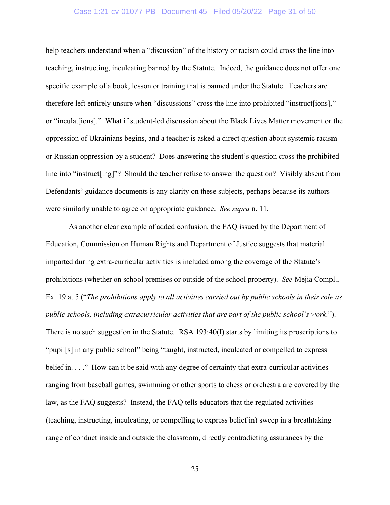#### Case 1:21-cv-01077-PB Document 45 Filed 05/20/22 Page 31 of 50

help teachers understand when a "discussion" of the history or racism could cross the line into teaching, instructing, inculcating banned by the Statute. Indeed, the guidance does not offer one specific example of a book, lesson or training that is banned under the Statute. Teachers are therefore left entirely unsure when "discussions" cross the line into prohibited "instruct[ions]," or "inculat[ions]." What if student-led discussion about the Black Lives Matter movement or the oppression of Ukrainians begins, and a teacher is asked a direct question about systemic racism or Russian oppression by a student? Does answering the student's question cross the prohibited line into "instruct[ing]"? Should the teacher refuse to answer the question? Visibly absent from Defendants' guidance documents is any clarity on these subjects, perhaps because its authors were similarly unable to agree on appropriate guidance. *See supra* n. 11*.* 

As another clear example of added confusion, the FAQ issued by the Department of Education, Commission on Human Rights and Department of Justice suggests that material imparted during extra-curricular activities is included among the coverage of the Statute's prohibitions (whether on school premises or outside of the school property). *See* Mejia Compl., Ex. 19 at 5 ("*The prohibitions apply to all activities carried out by public schools in their role as public schools, including extracurricular activities that are part of the public school's work*."). There is no such suggestion in the Statute. RSA 193:40(I) starts by limiting its proscriptions to "pupil[s] in any public school" being "taught, instructed, inculcated or compelled to express belief in. . . ." How can it be said with any degree of certainty that extra-curricular activities ranging from baseball games, swimming or other sports to chess or orchestra are covered by the law, as the FAQ suggests? Instead, the FAQ tells educators that the regulated activities (teaching, instructing, inculcating, or compelling to express belief in) sweep in a breathtaking range of conduct inside and outside the classroom, directly contradicting assurances by the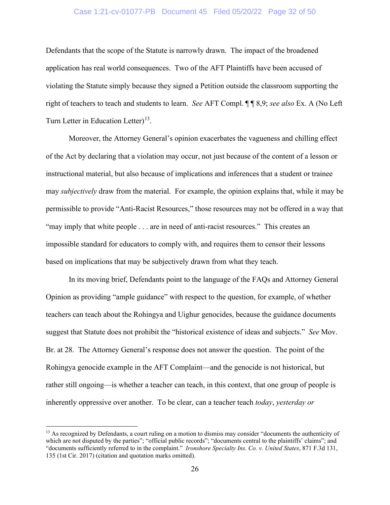#### Case 1:21-cv-01077-PB Document 45 Filed 05/20/22 Page 32 of 50

Defendants that the scope of the Statute is narrowly drawn. The impact of the broadened application has real world consequences. Two of the AFT Plaintiffs have been accused of violating the Statute simply because they signed a Petition outside the classroom supporting the right of teachers to teach and students to learn. *See* AFT Compl. ¶ ¶ 8,9; *see also* Ex. A (No Left Turn Letter in Education Letter)<sup>[13](#page-31-1)</sup>.

Moreover, the Attorney General's opinion exacerbates the vagueness and chilling effect of the Act by declaring that a violation may occur, not just because of the content of a lesson or instructional material, but also because of implications and inferences that a student or trainee may *subjectively* draw from the material. For example, the opinion explains that, while it may be permissible to provide "Anti-Racist Resources," those resources may not be offered in a way that "may imply that white people . . . are in need of anti-racist resources." This creates an impossible standard for educators to comply with, and requires them to censor their lessons based on implications that may be subjectively drawn from what they teach.

In its moving brief, Defendants point to the language of the FAQs and Attorney General Opinion as providing "ample guidance" with respect to the question, for example, of whether teachers can teach about the Rohingya and Uighur genocides, because the guidance documents suggest that Statute does not prohibit the "historical existence of ideas and subjects." *See* Mov. Br. at 28. The Attorney General's response does not answer the question. The point of the Rohingya genocide example in the AFT Complaint—and the genocide is not historical, but rather still ongoing—is whether a teacher can teach, in this context, that one group of people is inherently oppressive over another. To be clear, can a teacher teach *today*, *yesterday or*

<span id="page-31-1"></span><span id="page-31-0"></span><sup>&</sup>lt;sup>13</sup> As recognized by Defendants, a court ruling on a motion to dismiss may consider "documents the authenticity of which are not disputed by the parties"; "official public records"; "documents central to the plaintiffs' claims"; and "documents sufficiently referred to in the complaint." *Ironshore Specialty Ins. Co. v. United States*, 871 F.3d 131, 135 (1st Cir. 2017) (citation and quotation marks omitted).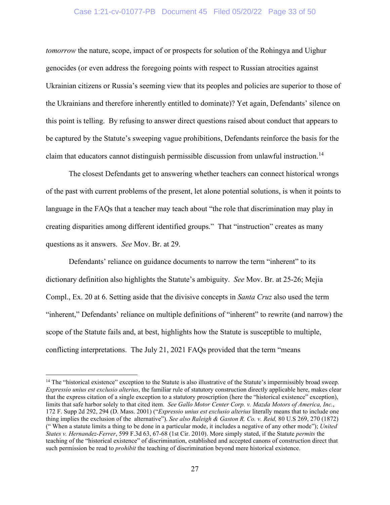#### Case 1:21-cv-01077-PB Document 45 Filed 05/20/22 Page 33 of 50

*tomorrow* the nature, scope, impact of or prospects for solution of the Rohingya and Uighur genocides (or even address the foregoing points with respect to Russian atrocities against Ukrainian citizens or Russia's seeming view that its peoples and policies are superior to those of the Ukrainians and therefore inherently entitled to dominate)? Yet again, Defendants' silence on this point is telling. By refusing to answer direct questions raised about conduct that appears to be captured by the Statute's sweeping vague prohibitions, Defendants reinforce the basis for the claim that educators cannot distinguish permissible discussion from unlawful instruction.<sup>[14](#page-32-3)</sup>

The closest Defendants get to answering whether teachers can connect historical wrongs of the past with current problems of the present, let alone potential solutions, is when it points to language in the FAQs that a teacher may teach about "the role that discrimination may play in creating disparities among different identified groups." That "instruction" creates as many questions as it answers. *See* Mov. Br. at 29.

Defendants' reliance on guidance documents to narrow the term "inherent" to its dictionary definition also highlights the Statute's ambiguity. *See* Mov. Br. at 25-26; Mejia Compl., Ex. 20 at 6. Setting aside that the divisive concepts in *Santa Cruz* also used the term "inherent," Defendants' reliance on multiple definitions of "inherent" to rewrite (and narrow) the scope of the Statute fails and, at best, highlights how the Statute is susceptible to multiple, conflicting interpretations. The July 21, 2021 FAQs provided that the term "means

<span id="page-32-3"></span><span id="page-32-2"></span><span id="page-32-1"></span><span id="page-32-0"></span> $14$  The "historical existence" exception to the Statute is also illustrative of the Statute's impermissibly broad sweep. *Expressio unius est exclusio alterius*, the familiar rule of statutory construction directly applicable here, makes clear that the express citation of a single exception to a statutory proscription (here the "historical existence" exception), limits that safe harbor solely to that cited item. *See Gallo Motor Center Corp. v. Mazda Motors of America, Inc.*, 172 F. Supp 2d 292, 294 (D. Mass. 2001) ("*Expressio unius est exclusio alterius* literally means that to include one thing implies the exclusion of the alternative"). *See also [Raleigh](https://1.next.westlaw.com/Link/Document/FullText?findType=Y&serNum=1871198670&pubNum=0000780&originatingDoc=Ibde896819c2511d9bc61beebb95be672&refType=RP&fi=co_pp_sp_780_270&originationContext=document&transitionType=DocumentItem&ppcid=b1220fffe42c4d2281e72866d0d528bd&contextData=(sc.Search)#co_pp_sp_780_270) & Gaston R. Co. v. Reid,* 80 U.S 269, 270 (1872) (" When a statute limits a thing to be done in a particular mode, it includes a negative of any other mode"); *United States v. Hernandez-Ferrer*, 599 F.3d 63, 67-68 (1st Cir. 2010). More simply stated, if the Statute *permits* the teaching of the "historical existence" of discrimination, established and accepted canons of construction direct that such permission be read to *prohibit* the teaching of discrimination beyond mere historical existence.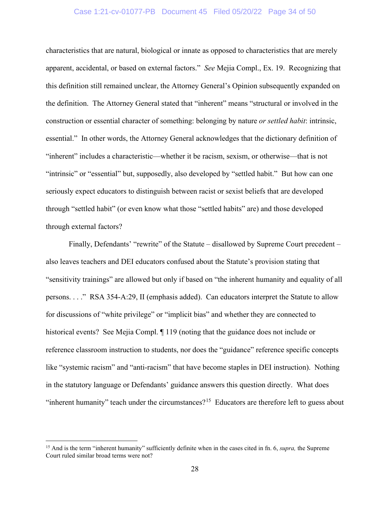#### Case 1:21-cv-01077-PB Document 45 Filed 05/20/22 Page 34 of 50

characteristics that are natural, biological or innate as opposed to characteristics that are merely apparent, accidental, or based on external factors." *See* Mejia Compl., Ex. 19. Recognizing that this definition still remained unclear, the Attorney General's Opinion subsequently expanded on the definition. The Attorney General stated that "inherent" means "structural or involved in the construction or essential character of something: belonging by nature *or settled habit*: intrinsic, essential." In other words, the Attorney General acknowledges that the dictionary definition of "inherent" includes a characteristic—whether it be racism, sexism, or otherwise—that is not "intrinsic" or "essential" but, supposedly, also developed by "settled habit." But how can one seriously expect educators to distinguish between racist or sexist beliefs that are developed through "settled habit" (or even know what those "settled habits" are) and those developed through external factors?

Finally, Defendants' "rewrite" of the Statute – disallowed by Supreme Court precedent – also leaves teachers and DEI educators confused about the Statute's provision stating that "sensitivity trainings" are allowed but only if based on "the inherent humanity and equality of all persons. . . ." RSA 354-A:29, II (emphasis added). Can educators interpret the Statute to allow for discussions of "white privilege" or "implicit bias" and whether they are connected to historical events? See Mejia Compl.  $\P$  119 (noting that the guidance does not include or reference classroom instruction to students, nor does the "guidance" reference specific concepts like "systemic racism" and "anti-racism" that have become staples in DEI instruction). Nothing in the statutory language or Defendants' guidance answers this question directly. What does "inherent humanity" teach under the circumstances?<sup>[15](#page-33-0)</sup> Educators are therefore left to guess about

<span id="page-33-0"></span><sup>&</sup>lt;sup>15</sup> And is the term "inherent humanity" sufficiently definite when in the cases cited in fn. 6, *supra*, the Supreme Court ruled similar broad terms were not?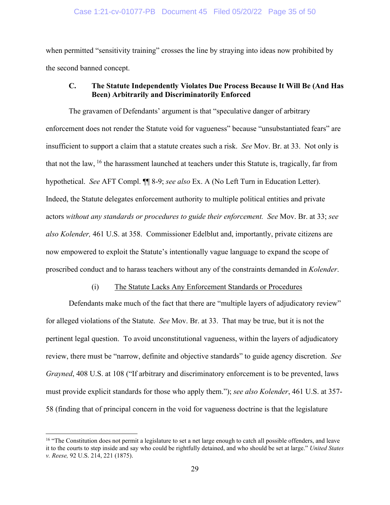when permitted "sensitivity training" crosses the line by straying into ideas now prohibited by the second banned concept.

## **C. The Statute Independently Violates Due Process Because It Will Be (And Has Been) Arbitrarily and Discriminatorily Enforced**

The gravamen of Defendants' argument is that "speculative danger of arbitrary enforcement does not render the Statute void for vagueness" because "unsubstantiated fears" are insufficient to support a claim that a statute creates such a risk. *See* Mov. Br. at 33. Not only is that not the law, <sup>[16](#page-34-1)</sup> the harassment launched at teachers under this Statute is, tragically, far from hypothetical. *See* AFT Compl. ¶¶ 8-9; *see also* Ex. A (No Left Turn in Education Letter). Indeed, the Statute delegates enforcement authority to multiple political entities and private actors *without any standards or procedures to guide their enforcement. See* Mov. Br. at 33; *see also Kolender,* 461 U.S. at 358. Commissioner Edelblut and, importantly, private citizens are now empowered to exploit the Statute's intentionally vague language to expand the scope of proscribed conduct and to harass teachers without any of the constraints demanded in *Kolender*.

#### (i) The Statute Lacks Any Enforcement Standards or Procedures

Defendants make much of the fact that there are "multiple layers of adjudicatory review" for alleged violations of the Statute. *See* Mov. Br. at 33. That may be true, but it is not the pertinent legal question. To avoid unconstitutional vagueness, within the layers of adjudicatory review, there must be "narrow, definite and objective standards" to guide agency discretion. *See Grayned*, 408 U.S. at 108 ("If arbitrary and discriminatory enforcement is to be prevented, laws must provide explicit standards for those who apply them."); *see also Kolender*, 461 U.S. at 357- 58 (finding that of principal concern in the void for vagueness doctrine is that the legislature

<span id="page-34-1"></span><span id="page-34-0"></span><sup>&</sup>lt;sup>16</sup> "The Constitution does not permit a legislature to set a net large enough to catch all possible offenders, and leave it to the courts to step inside and say who could be rightfully detained, and who should be set at large." *United States v. Reese,* 92 U.S. 214, 221 (1875).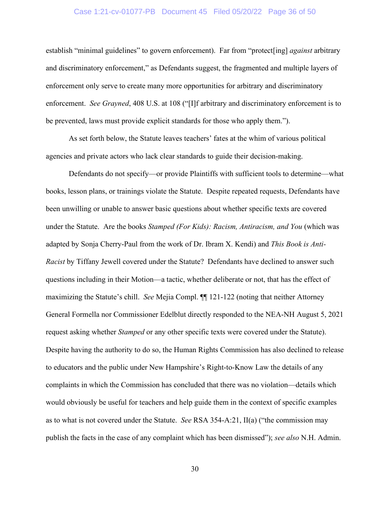#### Case 1:21-cv-01077-PB Document 45 Filed 05/20/22 Page 36 of 50

establish "minimal guidelines" to govern enforcement). Far from "protect[ing] *against* arbitrary and discriminatory enforcement," as Defendants suggest, the fragmented and multiple layers of enforcement only serve to create many more opportunities for arbitrary and discriminatory enforcement. *See Grayned*, 408 U.S. at 108 ("[I]f arbitrary and discriminatory enforcement is to be prevented, laws must provide explicit standards for those who apply them.").

As set forth below, the Statute leaves teachers' fates at the whim of various political agencies and private actors who lack clear standards to guide their decision-making.

<span id="page-35-0"></span>Defendants do not specify—or provide Plaintiffs with sufficient tools to determine—what books, lesson plans, or trainings violate the Statute. Despite repeated requests, Defendants have been unwilling or unable to answer basic questions about whether specific texts are covered under the Statute. Are the books *Stamped (For Kids): Racism, Antiracism, and You* (which was adapted by Sonja Cherry-Paul from the work of Dr. Ibram X. Kendi) and *This Book is Anti-Racist* by Tiffany Jewell covered under the Statute? Defendants have declined to answer such questions including in their Motion—a tactic, whether deliberate or not, that has the effect of maximizing the Statute's chill. *See* Mejia Compl. ¶¶ 121-122 (noting that neither Attorney General Formella nor Commissioner Edelblut directly responded to the NEA-NH August 5, 2021 request asking whether *Stamped* or any other specific texts were covered under the Statute). Despite having the authority to do so, the Human Rights Commission has also declined to release to educators and the public under New Hampshire's Right-to-Know Law the details of any complaints in which the Commission has concluded that there was no violation—details which would obviously be useful for teachers and help guide them in the context of specific examples as to what is not covered under the Statute. *See* RSA 354-A:21, II(a) ("the commission may publish the facts in the case of any complaint which has been dismissed"); *see also* N.H. Admin.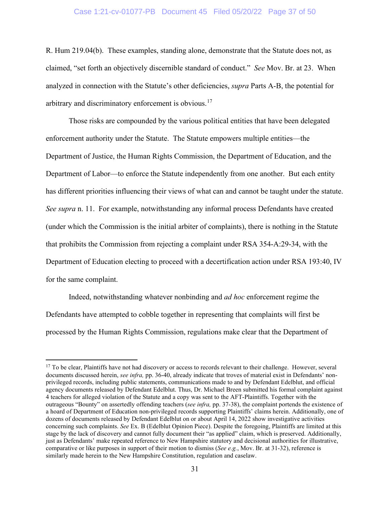R. Hum 219.04(b). These examples, standing alone, demonstrate that the Statute does not, as claimed, "set forth an objectively discernible standard of conduct." *See* Mov. Br. at 23.When analyzed in connection with the Statute's other deficiencies, *supra* Parts A-B, the potential for arbitrary and discriminatory enforcement is obvious.<sup>[17](#page-36-0)</sup>

Those risks are compounded by the various political entities that have been delegated enforcement authority under the Statute. The Statute empowers multiple entities—the Department of Justice, the Human Rights Commission, the Department of Education, and the Department of Labor—to enforce the Statute independently from one another. But each entity has different priorities influencing their views of what can and cannot be taught under the statute. *See supra* n. 11. For example, notwithstanding any informal process Defendants have created (under which the Commission is the initial arbiter of complaints), there is nothing in the Statute that prohibits the Commission from rejecting a complaint under RSA 354-A:29-34, with the Department of Education electing to proceed with a decertification action under RSA 193:40, IV for the same complaint.

Indeed, notwithstanding whatever nonbinding and *ad hoc* enforcement regime the Defendants have attempted to cobble together in representing that complaints will first be processed by the Human Rights Commission, regulations make clear that the Department of

<span id="page-36-0"></span><sup>&</sup>lt;sup>17</sup> To be clear, Plaintiffs have not had discovery or access to records relevant to their challenge. However, several documents discussed herein, *see infra,* pp. 36-40, already indicate that troves of material exist in Defendants' nonprivileged records, including public statements, communications made to and by Defendant Edelblut, and official agency documents released by Defendant Edelblut. Thus, Dr. Michael Breen submitted his formal complaint against 4 teachers for alleged violation of the Statute and a copy was sent to the AFT-Plaintiffs. Together with the outrageous "Bounty" on assertedly offending teachers (*see infra,* pp. 37-38), the complaint portends the existence of a hoard of Department of Education non-privileged records supporting Plaintiffs' claims herein. Additionally, one of dozens of documents released by Defendant Edelblut on or about April 14, 2022 show investigative activities concerning such complaints. *See* Ex. B (Edelblut Opinion Piece). Despite the foregoing, Plaintiffs are limited at this stage by the lack of discovery and cannot fully document their "as applied" claim, which is preserved. Additionally, just as Defendants' make repeated reference to New Hampshire statutory and decisional authorities for illustrative, comparative or like purposes in support of their motion to dismiss (*See e.g.*, Mov. Br. at 31-32), reference is similarly made herein to the New Hampshire Constitution, regulation and caselaw.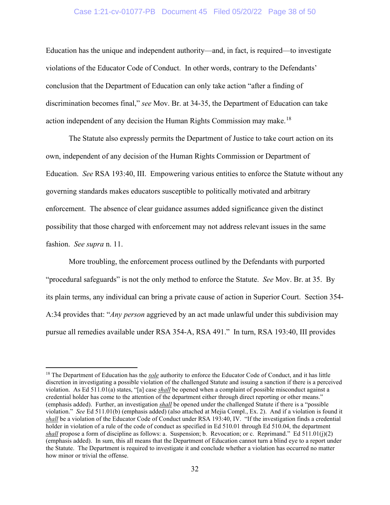#### Case 1:21-cv-01077-PB Document 45 Filed 05/20/22 Page 38 of 50

Education has the unique and independent authority—and, in fact, is required—to investigate violations of the Educator Code of Conduct. In other words, contrary to the Defendants' conclusion that the Department of Education can only take action "after a finding of discrimination becomes final," *see* Mov. Br. at 34-35, the Department of Education can take action independent of any decision the Human Rights Commission may make.<sup>[18](#page-37-0)</sup>

The Statute also expressly permits the Department of Justice to take court action on its own, independent of any decision of the Human Rights Commission or Department of Education. *See* RSA 193:40, III. Empowering various entities to enforce the Statute without any governing standards makes educators susceptible to politically motivated and arbitrary enforcement. The absence of clear guidance assumes added significance given the distinct possibility that those charged with enforcement may not address relevant issues in the same fashion. *See supra* n. 11.

More troubling, the enforcement process outlined by the Defendants with purported "procedural safeguards" is not the only method to enforce the Statute. *See* Mov. Br. at 35. By its plain terms, any individual can bring a private cause of action in Superior Court. Section 354- A:34 provides that: "*Any person* aggrieved by an act made unlawful under this subdivision may pursue all remedies available under RSA 354-A, RSA 491." In turn, RSA 193:40, III provides

<span id="page-37-0"></span><sup>&</sup>lt;sup>18</sup> The Department of Education has the *sole* authority to enforce the Educator Code of Conduct, and it has little discretion in investigating a possible violation of the challenged Statute and issuing a sanction if there is a perceived violation. As Ed 511.01(a) states, "[a] case *shall* be opened when a complaint of possible misconduct against a credential holder has come to the attention of the department either through direct reporting or other means." (emphasis added). Further, an investigation *shall* be opened under the challenged Statute if there is a "possible violation." *See* Ed 511.01(b) (emphasis added) (also attached at Mejia Compl., Ex. 2). And if a violation is found it *shall* be a violation of the Educator Code of Conduct under RSA 193:40, IV. "If the investigation finds a credential holder in violation of a rule of the code of conduct as specified in Ed 510.01 through Ed 510.04, the department *shall* propose a form of discipline as follows: a. Suspension; b. Revocation; or c. Reprimand." Ed 511.01(j)(2) (emphasis added). In sum, this all means that the Department of Education cannot turn a blind eye to a report under the Statute. The Department is required to investigate it and conclude whether a violation has occurred no matter how minor or trivial the offense.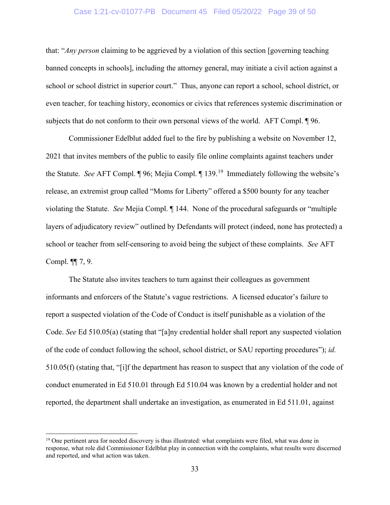#### Case 1:21-cv-01077-PB Document 45 Filed 05/20/22 Page 39 of 50

that: "*Any person* claiming to be aggrieved by a violation of this section [governing teaching banned concepts in schools], including the attorney general, may initiate a civil action against a school or school district in superior court." Thus, anyone can report a school, school district, or even teacher, for teaching history, economics or civics that references systemic discrimination or subjects that do not conform to their own personal views of the world. AFT Compl. ¶ 96.

Commissioner Edelblut added fuel to the fire by publishing a website on November 12, 2021 that invites members of the public to easily file online complaints against teachers under the Statute. See AFT Compl. [19](#page-38-0)6; Mejia Compl. 199.<sup>19</sup> Immediately following the website's release, an extremist group called "Moms for Liberty" offered a \$500 bounty for any teacher violating the Statute. *See* Mejia Compl. ¶ 144. None of the procedural safeguards or "multiple layers of adjudicatory review" outlined by Defendants will protect (indeed, none has protected) a school or teacher from self-censoring to avoid being the subject of these complaints. *See* AFT Compl. ¶¶ 7, 9.

The Statute also invites teachers to turn against their colleagues as government informants and enforcers of the Statute's vague restrictions. A licensed educator's failure to report a suspected violation of the Code of Conduct is itself punishable as a violation of the Code. *See* Ed 510.05(a) (stating that "[a]ny credential holder shall report any suspected violation of the code of conduct following the school, school district, or SAU reporting procedures"); *id.*  510.05(f) (stating that, "[i]f the department has reason to suspect that any violation of the code of conduct enumerated in Ed 510.01 through Ed 510.04 was known by a credential holder and not reported, the department shall undertake an investigation, as enumerated in Ed 511.01, against

<span id="page-38-0"></span> $19$  One pertinent area for needed discovery is thus illustrated: what complaints were filed, what was done in response, what role did Commissioner Edelblut play in connection with the complaints, what results were discerned and reported, and what action was taken.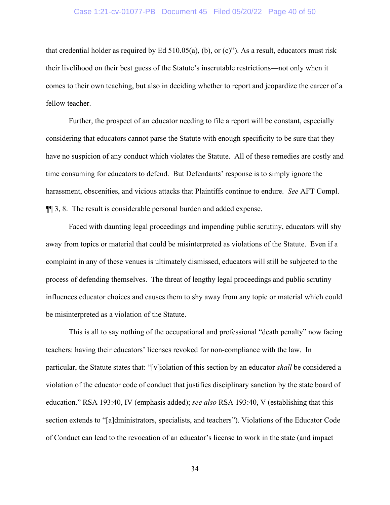#### Case 1:21-cv-01077-PB Document 45 Filed 05/20/22 Page 40 of 50

that credential holder as required by Ed 510.05(a), (b), or (c)"). As a result, educators must risk their livelihood on their best guess of the Statute's inscrutable restrictions—not only when it comes to their own teaching, but also in deciding whether to report and jeopardize the career of a fellow teacher.

Further, the prospect of an educator needing to file a report will be constant, especially considering that educators cannot parse the Statute with enough specificity to be sure that they have no suspicion of any conduct which violates the Statute. All of these remedies are costly and time consuming for educators to defend. But Defendants' response is to simply ignore the harassment, obscenities, and vicious attacks that Plaintiffs continue to endure. *See* AFT Compl. ¶¶ 3, 8. The result is considerable personal burden and added expense.

Faced with daunting legal proceedings and impending public scrutiny, educators will shy away from topics or material that could be misinterpreted as violations of the Statute. Even if a complaint in any of these venues is ultimately dismissed, educators will still be subjected to the process of defending themselves. The threat of lengthy legal proceedings and public scrutiny influences educator choices and causes them to shy away from any topic or material which could be misinterpreted as a violation of the Statute.

This is all to say nothing of the occupational and professional "death penalty" now facing teachers: having their educators' licenses revoked for non-compliance with the law. In particular, the Statute states that: "[v]iolation of this section by an educator *shall* be considered a violation of the educator code of conduct that justifies disciplinary sanction by the state board of education." RSA 193:40, IV (emphasis added); *see also* RSA 193:40, V (establishing that this section extends to "[a]dministrators, specialists, and teachers"). Violations of the Educator Code of Conduct can lead to the revocation of an educator's license to work in the state (and impact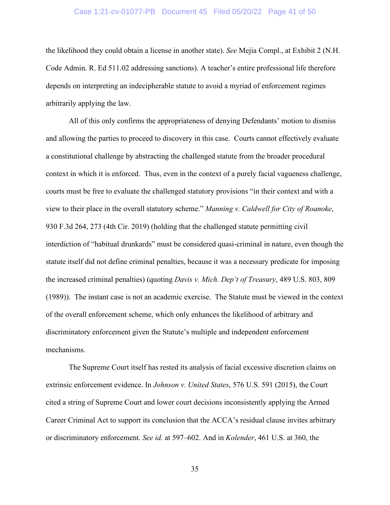#### Case 1:21-cv-01077-PB Document 45 Filed 05/20/22 Page 41 of 50

the likelihood they could obtain a license in another state). *See* Mejia Compl., at Exhibit 2 (N.H. Code Admin. R. Ed 511.02 addressing sanctions). A teacher's entire professional life therefore depends on interpreting an indecipherable statute to avoid a myriad of enforcement regimes arbitrarily applying the law.

<span id="page-40-0"></span>All of this only confirms the appropriateness of denying Defendants' motion to dismiss and allowing the parties to proceed to discovery in this case. Courts cannot effectively evaluate a constitutional challenge by abstracting the challenged statute from the broader procedural context in which it is enforced. Thus, even in the context of a purely facial vagueness challenge, courts must be free to evaluate the challenged statutory provisions "in their context and with a view to their place in the overall statutory scheme." *Manning v. Caldwell for City of Roanoke*, 930 F.3d 264, 273 (4th Cir. 2019) (holding that the challenged statute permitting civil interdiction of "habitual drunkards" must be considered quasi-criminal in nature, even though the statute itself did not define criminal penalties, because it was a necessary predicate for imposing the increased criminal penalties) (quoting *Davis v. Mich. Dep't of Treasury*, 489 U.S. 803, 809 (1989)). The instant case is not an academic exercise. The Statute must be viewed in the context of the overall enforcement scheme, which only enhances the likelihood of arbitrary and discriminatory enforcement given the Statute's multiple and independent enforcement mechanisms.

The Supreme Court itself has rested its analysis of facial excessive discretion claims on extrinsic enforcement evidence. In *Johnson v. United States*, 576 U.S. 591 (2015), the Court cited a string of Supreme Court and lower court decisions inconsistently applying the Armed Career Criminal Act to support its conclusion that the ACCA's residual clause invites arbitrary or discriminatory enforcement. *See id.* at 597–602. And in *Kolender*, 461 U.S. at 360, the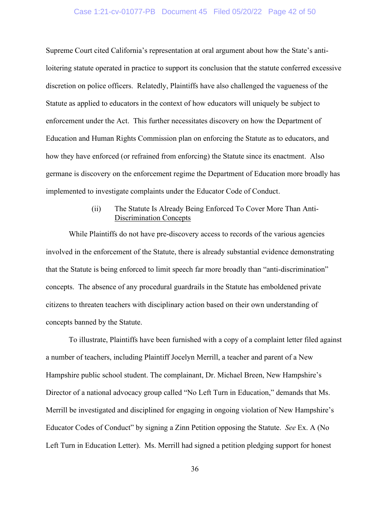#### Case 1:21-cv-01077-PB Document 45 Filed 05/20/22 Page 42 of 50

Supreme Court cited California's representation at oral argument about how the State's antiloitering statute operated in practice to support its conclusion that the statute conferred excessive discretion on police officers. Relatedly, Plaintiffs have also challenged the vagueness of the Statute as applied to educators in the context of how educators will uniquely be subject to enforcement under the Act. This further necessitates discovery on how the Department of Education and Human Rights Commission plan on enforcing the Statute as to educators, and how they have enforced (or refrained from enforcing) the Statute since its enactment. Also germane is discovery on the enforcement regime the Department of Education more broadly has implemented to investigate complaints under the Educator Code of Conduct.

## (ii) The Statute Is Already Being Enforced To Cover More Than Anti-Discrimination Concepts

While Plaintiffs do not have pre-discovery access to records of the various agencies involved in the enforcement of the Statute, there is already substantial evidence demonstrating that the Statute is being enforced to limit speech far more broadly than "anti-discrimination" concepts. The absence of any procedural guardrails in the Statute has emboldened private citizens to threaten teachers with disciplinary action based on their own understanding of concepts banned by the Statute.

To illustrate, Plaintiffs have been furnished with a copy of a complaint letter filed against a number of teachers, including Plaintiff Jocelyn Merrill, a teacher and parent of a New Hampshire public school student. The complainant, Dr. Michael Breen, New Hampshire's Director of a national advocacy group called "No Left Turn in Education," demands that Ms. Merrill be investigated and disciplined for engaging in ongoing violation of New Hampshire's Educator Codes of Conduct" by signing a Zinn Petition opposing the Statute. *See* Ex. A (No Left Turn in Education Letter). Ms. Merrill had signed a petition pledging support for honest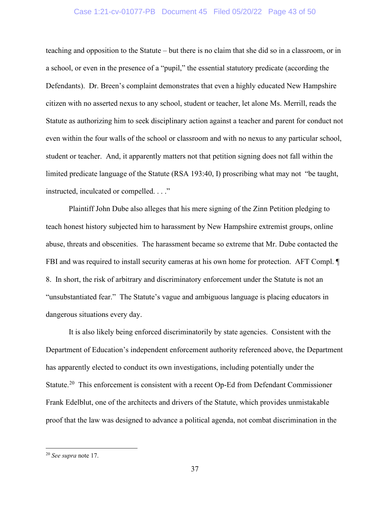#### Case 1:21-cv-01077-PB Document 45 Filed 05/20/22 Page 43 of 50

teaching and opposition to the Statute – but there is no claim that she did so in a classroom, or in a school, or even in the presence of a "pupil," the essential statutory predicate (according the Defendants). Dr. Breen's complaint demonstrates that even a highly educated New Hampshire citizen with no asserted nexus to any school, student or teacher, let alone Ms. Merrill, reads the Statute as authorizing him to seek disciplinary action against a teacher and parent for conduct not even within the four walls of the school or classroom and with no nexus to any particular school, student or teacher. And, it apparently matters not that petition signing does not fall within the limited predicate language of the Statute (RSA 193:40, I) proscribing what may not "be taught, instructed, inculcated or compelled. . . ."

Plaintiff John Dube also alleges that his mere signing of the Zinn Petition pledging to teach honest history subjected him to harassment by New Hampshire extremist groups, online abuse, threats and obscenities. The harassment became so extreme that Mr. Dube contacted the FBI and was required to install security cameras at his own home for protection. AFT Compl.  $\P$ 8. In short, the risk of arbitrary and discriminatory enforcement under the Statute is not an "unsubstantiated fear." The Statute's vague and ambiguous language is placing educators in dangerous situations every day.

It is also likely being enforced discriminatorily by state agencies. Consistent with the Department of Education's independent enforcement authority referenced above, the Department has apparently elected to conduct its own investigations, including potentially under the Statute.<sup>[20](#page-42-0)</sup> This enforcement is consistent with a recent Op-Ed from Defendant Commissioner Frank Edelblut, one of the architects and drivers of the Statute, which provides unmistakable proof that the law was designed to advance a political agenda, not combat discrimination in the

<span id="page-42-0"></span><sup>20</sup> *See supra* note 17.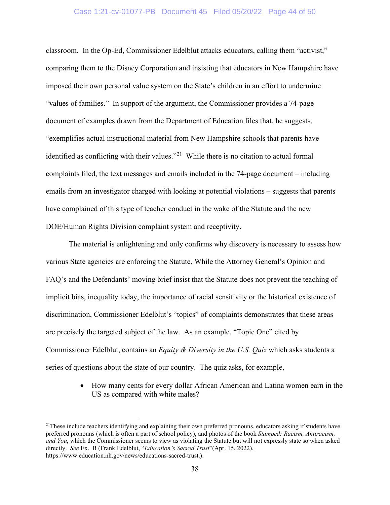classroom. In the Op-Ed, Commissioner Edelblut attacks educators, calling them "activist," comparing them to the Disney Corporation and insisting that educators in New Hampshire have imposed their own personal value system on the State's children in an effort to undermine "values of families." In support of the argument, the Commissioner provides a 74-page document of examples drawn from the Department of Education files that, he suggests, "exemplifies actual instructional material from New Hampshire schools that parents have identified as conflicting with their values."<sup>[21](#page-43-1)</sup> While there is no citation to actual formal complaints filed, the text messages and emails included in the 74-page document – including emails from an investigator charged with looking at potential violations – suggests that parents have complained of this type of teacher conduct in the wake of the Statute and the new DOE/Human Rights Division complaint system and receptivity.

The material is enlightening and only confirms why discovery is necessary to assess how various State agencies are enforcing the Statute. While the Attorney General's Opinion and FAQ's and the Defendants' moving brief insist that the Statute does not prevent the teaching of implicit bias, inequality today, the importance of racial sensitivity or the historical existence of discrimination, Commissioner Edelblut's "topics" of complaints demonstrates that these areas are precisely the targeted subject of the law. As an example, "Topic One" cited by Commissioner Edelblut, contains an *Equity & Diversity in the U.S. Quiz* which asks students a series of questions about the state of our country. The quiz asks, for example,

> • How many cents for every dollar African American and Latina women earn in the US as compared with white males?

<span id="page-43-1"></span><span id="page-43-0"></span> $21$ These include teachers identifying and explaining their own preferred pronouns, educators asking if students have preferred pronouns (which is often a part of school policy), and photos of the book *Stamped: Racism, Antiracism, and You*, which the Commissioner seems to view as violating the Statute but will not expressly state so when asked directly. *See* Ex. B (Frank Edelblut, "*Education's Sacred Trust*"(Apr. 15, 2022), https://www.education.nh.gov/news/educations-sacred-trust.).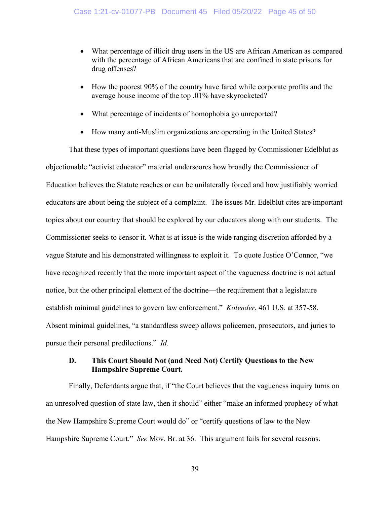- What percentage of illicit drug users in the US are African American as compared with the percentage of African Americans that are confined in state prisons for drug offenses?
- How the poorest 90% of the country have fared while corporate profits and the average house income of the top .01% have skyrocketed?
- What percentage of incidents of homophobia go unreported?
- How many anti-Muslim organizations are operating in the United States?

That these types of important questions have been flagged by Commissioner Edelblut as objectionable "activist educator" material underscores how broadly the Commissioner of Education believes the Statute reaches or can be unilaterally forced and how justifiably worried educators are about being the subject of a complaint. The issues Mr. Edelblut cites are important topics about our country that should be explored by our educators along with our students. The Commissioner seeks to censor it. What is at issue is the wide ranging discretion afforded by a vague Statute and his demonstrated willingness to exploit it. To quote Justice O'Connor, "we have recognized recently that the more important aspect of the vagueness doctrine is not actual notice, but the other principal element of the doctrine—the requirement that a legislature establish minimal guidelines to govern law enforcement." *Kolender*, 461 U.S. at 357-58. Absent minimal guidelines, "a standardless sweep allows policemen, prosecutors, and juries to pursue their personal predilections." *Id.*

## **D. This Court Should Not (and Need Not) Certify Questions to the New Hampshire Supreme Court.**

Finally, Defendants argue that, if "the Court believes that the vagueness inquiry turns on an unresolved question of state law, then it should" either "make an informed prophecy of what the New Hampshire Supreme Court would do" or "certify questions of law to the New Hampshire Supreme Court." *See* Mov. Br. at 36. This argument fails for several reasons.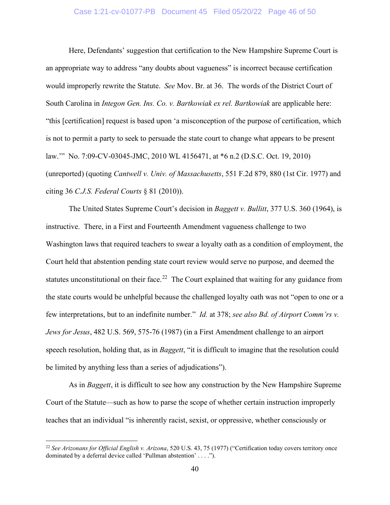#### Case 1:21-cv-01077-PB Document 45 Filed 05/20/22 Page 46 of 50

Here, Defendants' suggestion that certification to the New Hampshire Supreme Court is an appropriate way to address "any doubts about vagueness" is incorrect because certification would improperly rewrite the Statute. *See* Mov. Br. at 36. The words of the District Court of South Carolina in *Integon Gen. Ins. Co. v. Bartkowiak ex rel. Bartkowiak* are applicable here: "this [certification] request is based upon 'a misconception of the purpose of certification, which is not to permit a party to seek to persuade the state court to change what appears to be present law.'" No. 7:09-CV-03045-JMC, 2010 WL 4156471, at \*6 n.2 (D.S.C. Oct. 19, 2010) (unreported) (quoting *Cantwell v. Univ. of Massachusetts*, 551 F.2d 879, 880 (1st Cir. 1977) and citing 36 *C.J.S. Federal Courts* § 81 (2010)).

<span id="page-45-1"></span>The United States Supreme Court's decision in *Baggett v. Bullitt*, 377 U.S. 360 (1964), is instructive. There, in a First and Fourteenth Amendment vagueness challenge to two Washington laws that required teachers to swear a loyalty oath as a condition of employment, the Court held that abstention pending state court review would serve no purpose, and deemed the statutes unconstitutional on their face.<sup>[22](#page-45-3)</sup> The Court explained that waiting for any guidance from the state courts would be unhelpful because the challenged loyalty oath was not "open to one or a few interpretations, but to an indefinite number." *Id.* at 378; *see also Bd. of Airport Comm'rs v. Jews for Jesus*, 482 U.S. 569, 575-76 (1987) (in a First Amendment challenge to an airport speech resolution, holding that, as in *Baggett*, "it is difficult to imagine that the resolution could be limited by anything less than a series of adjudications").

<span id="page-45-2"></span>As in *Baggett*, it is difficult to see how any construction by the New Hampshire Supreme Court of the Statute—such as how to parse the scope of whether certain instruction improperly teaches that an individual "is inherently racist, sexist, or oppressive, whether consciously or

<span id="page-45-3"></span><span id="page-45-0"></span><sup>22</sup> *See Arizonans for Official English v. Arizona*, 520 U.S. 43, 75 (1977) ("Certification today covers territory once dominated by a deferral device called 'Pullman abstention' . . . .").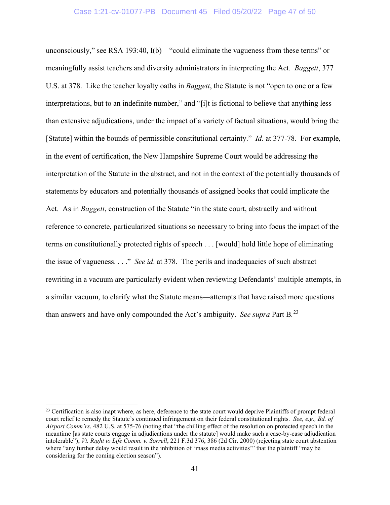<span id="page-46-0"></span>unconsciously," see RSA 193:40, I(b)—"could eliminate the vagueness from these terms" or meaningfully assist teachers and diversity administrators in interpreting the Act. *Baggett*, 377 U.S. at 378. Like the teacher loyalty oaths in *Baggett*, the Statute is not "open to one or a few interpretations, but to an indefinite number," and "[i]t is fictional to believe that anything less than extensive adjudications, under the impact of a variety of factual situations, would bring the [Statute] within the bounds of permissible constitutional certainty." *Id*. at 377-78. For example, in the event of certification, the New Hampshire Supreme Court would be addressing the interpretation of the Statute in the abstract, and not in the context of the potentially thousands of statements by educators and potentially thousands of assigned books that could implicate the Act. As in *Baggett*, construction of the Statute "in the state court, abstractly and without reference to concrete, particularized situations so necessary to bring into focus the impact of the terms on constitutionally protected rights of speech . . . [would] hold little hope of eliminating the issue of vagueness. . . ." *See id*. at 378. The perils and inadequacies of such abstract rewriting in a vacuum are particularly evident when reviewing Defendants' multiple attempts, in a similar vacuum, to clarify what the Statute means—attempts that have raised more questions than answers and have only compounded the Act's ambiguity. *See supra* Part B*.* [23](#page-46-3)

<span id="page-46-3"></span><span id="page-46-2"></span><span id="page-46-1"></span> $23$  Certification is also inapt where, as here, deference to the state court would deprive Plaintiffs of prompt federal court relief to remedy the Statute's continued infringement on their federal constitutional rights. *See, e.g., Bd. of Airport Comm'rs*, 482 U.S. at 575-76 (noting that "the chilling effect of the resolution on protected speech in the meantime [as state courts engage in adjudications under the statute] would make such a case-by-case adjudication intolerable"); *Vt. Right to Life Comm. v. Sorrell*, 221 F.3d 376, 386 (2d Cir. 2000) (rejecting state court abstention where "any further delay would result in the inhibition of 'mass media activities'" that the plaintiff "may be considering for the coming election season").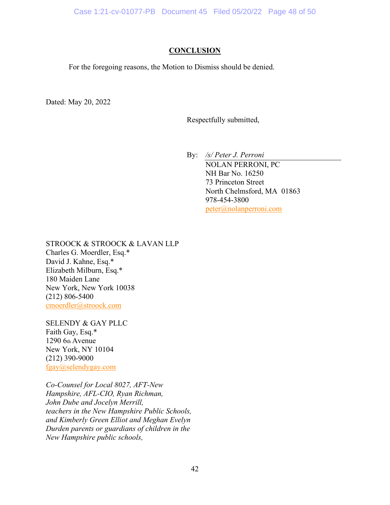## **CONCLUSION**

For the foregoing reasons, the Motion to Dismiss should be denied.

Dated: May 20, 2022

Respectfully submitted,

By: */s/ Peter J. Perroni*

NOLAN PERRONI, PC NH Bar No. 16250 73 Princeton Street North Chelmsford, MA 01863 978-454-3800 [peter@nolanperroni.com](mailto:peter@nolanperroni.com)

STROOCK & STROOCK & LAVAN LLP Charles G. Moerdler, Esq.\* David J. Kahne, Esq.\* Elizabeth Milburn, Esq.\* 180 Maiden Lane New York, New York 10038 (212) 806-5400 [cmoerdler@stroock.com](mailto:cmoerdler@stroock.com)

SELENDY & GAY PLLC Faith Gay, Esq.\* 1290 6th Avenue New York, NY 10104 (212) 390-9000 [fgay@selendygay.com](mailto:fgay@selendygay.com)

*Co-Counsel for Local 8027, AFT-New Hampshire, AFL-CIO, Ryan Richman, John Dube and Jocelyn Merrill, teachers in the New Hampshire Public Schools, and Kimberly Green Elliot and Meghan Evelyn Durden parents or guardians of children in the New Hampshire public schools,*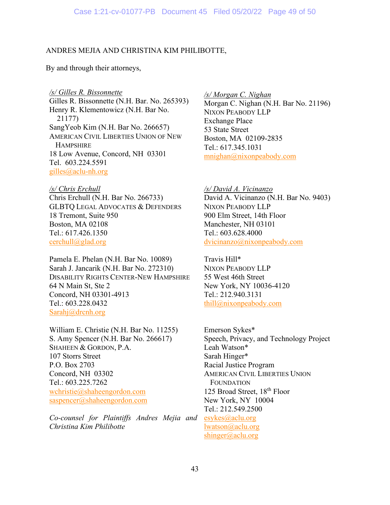### ANDRES MEJIA AND CHRISTINA KIM PHILIBOTTE,

By and through their attorneys,

*/s/ Gilles R. Bissonnette*

Gilles R. Bissonnette (N.H. Bar. No. 265393) Henry R. Klementowicz (N.H. Bar No. 21177) SangYeob Kim (N.H. Bar No. 266657) AMERICAN CIVIL LIBERTIES UNION OF NEW **HAMPSHIRE** 18 Low Avenue, Concord, NH 03301 Tel. 603.224.5591 [gilles@aclu-nh.org](mailto:gilles@aclu-nh.org) 

*/s/ Chris Erchull* Chris Erchull (N.H. Bar No. 266733) GLBTQ LEGAL ADVOCATES & DEFENDERS 18 Tremont, Suite 950 Boston, MA 02108 Tel.: 617.426.1350 [cerchull@glad.org](mailto:cerchull@glad.org)

Pamela E. Phelan (N.H. Bar No. 10089) Sarah J. Jancarik (N.H. Bar No. 272310) DISABILITY RIGHTS CENTER-NEW HAMPSHIRE 64 N Main St, Ste 2 Concord, NH 03301-4913 Tel.: 603.228.0432 [Sarahj@drcnh.org](mailto:Sarahj@drcnh.org)

William E. Christie (N.H. Bar No. 11255) S. Amy Spencer (N.H. Bar No. 266617) SHAHEEN & GORDON, P.A. 107 Storrs Street P.O. Box 2703 Concord, NH 03302 Tel.: 603.225.7262 [wchristie@shaheengordon.com](mailto:wchristie@shaheengordon.com) [saspencer@shaheengordon.com](mailto:saspencer@shaheengordon.com)

*Co-counsel for Plaintiffs Andres Mejia and Christina Kim Philibotte*

*/s/ Morgan C. Nighan* Morgan C. Nighan (N.H. Bar No. 21196) NIXON PEABODY LLP Exchange Place 53 State Street Boston, MA 02109-2835 Tel.: 617.345.1031 [mnighan@nixonpeabody.com](mailto:mnighan@nixonpeabody.com)

*/s/ David A. Vicinanzo* David A. Vicinanzo (N.H. Bar No. 9403) NIXON PEABODY LLP 900 Elm Street, 14th Floor Manchester, NH 03101 Tel.: 603.628.4000 [dvicinanzo@nixonpeabody.com](mailto:dvicinanzo@nixonpeabody.com)

Travis Hill\* NIXON PEABODY LLP 55 West 46th Street New York, NY 10036-4120 Tel.: 212.940.3131 [thill@nixonpeabody.com](mailto:thill@nixonpeabody.com)

Emerson Sykes\* Speech, Privacy, and Technology Project Leah Watson\* Sarah Hinger\* Racial Justice Program AMERICAN CIVIL LIBERTIES UNION FOUNDATION 125 Broad Street, 18<sup>th</sup> Floor New York, NY 10004 Tel.: 212.549.2500 [esykes@aclu.org](mailto:esykes@aclu.org)

[lwatson@aclu.org](mailto:lwatson@aclu.org) [shinger@aclu.org](mailto:shinger@aclu.org)